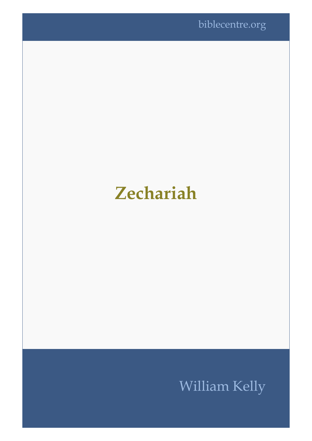## **Zechariah**

## William Kelly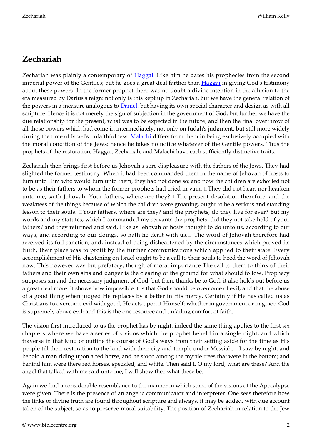## **Zechariah**

Zechariah was plainly a contemporary of [Haggai.](http://biblecentre.org/index_ot.htm#haggai) Like him he dates his prophecies from the second imperial power of the Gentiles; but he goes a great deal farther than [Haggai](http://biblecentre.org/index_ot.htm#haggai) in giving God's testimony about these powers. In the former prophet there was no doubt a divine intention in the allusion to the era measured by Darius's reign: not only is this kept up in Zechariah, but we have the general relation of the powers in a measure analogous to **[Daniel](http://biblecentre.org/index_ot.htm#daniel)**, but having its own special character and design as with all scripture. Hence it is not merely the sign of subjection in the government of God; but further we have the due relationship for the present, what was to be expected in the future, and then the final overthrow of all those powers which had come in intermediately, not only on Judah's judgment, but still more widely during the time of Israel's unfaithfulness. [Malachi](http://biblecentre.org/index_ot.htm#malachi) differs from them in being exclusively occupied with the moral condition of the Jews; hence he takes no notice whatever of the Gentile powers. Thus the prophets of the restoration, Haggai, Zechariah, and Malachi have each sufficiently distinctive traits.

Zechariah then brings first before us Jehovah's sore displeasure with the fathers of the Jews. They had slighted the former testimony. When it had been commanded them in the name of Jehovah of hosts to turn unto Him who would turn unto them, they had not done so; and now the children are exhorted not to be as their fathers to whom the former prophets had cried in vain. They did not hear, nor hearken unto me, saith Jehovah. Your fathers, where are they? $\Box$  The present desolation therefore, and the weakness of the things because of which the children were groaning, ought to be a serious and standing lesson to their souls.  $\Box$  Your fathers, where are they? and the prophets, do they live for ever? But my words and my statutes, which I commanded my servants the prophets, did they not take hold of your fathers? and they returned and said, Like as Jehovah of hosts thought to do unto us, according to our ways, and according to our doings, so hath he dealt with us. I The word of Jehovah therefore had received its full sanction, and, instead of being disheartened by the circumstances which proved its truth, their place was to profit by the further communications which applied to their state. Every accomplishment of His chastening on Israel ought to be a call to their souls to heed the word of Jehovah now. This however was but prefatory, though of moral importance The call to them to think of their fathers and their own sins and danger is the clearing of the ground for what should follow. Prophecy supposes sin and the necessary judgment of God; but then, thanks be to God, it also holds out before us a great deal more. It shows how impossible it is that God should be overcome of evil, and that the abuse of a good thing when judged He replaces by a better in His mercy. Certainly if He has called us as Christians to overcome evil with good, He acts upon it Himself: whether in government or in grace, God is supremely above evil; and this is the one resource and unfailing comfort of faith.

The vision first introduced to us the prophet has by night: indeed the same thing applies to the first six chapters where we have a series of visions which the prophet beheld in a single night, and which traverse in that kind of outline the course of God's ways from their setting aside for the time as His people till their restoration to the land with their city and temple under Messiah.  $\Box$ I saw by night, and behold a man riding upon a red horse, and he stood among the myrtle trees that were in the bottom; and behind him were there red horses, speckled, and white. Then said I, O my lord, what are these? And the angel that talked with me said unto me, I will show thee what these be. $\square$ 

Again we find a considerable resemblance to the manner in which some of the visions of the Apocalypse were given. There is the presence of an angelic communicator and interpreter. One sees therefore how the links of divine truth are found throughout scripture and always, it may be added, with due account taken of the subject, so as to preserve moral suitability. The position of Zechariah in relation to the Jew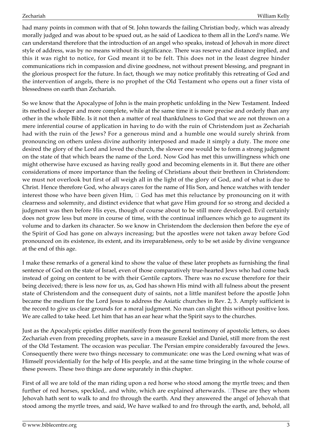had many points in common with that of St. John towards the failing Christian body, which was already morally judged and was about to be spued out, as he said of Laodicea to them all in the Lord's name. We can understand therefore that the introduction of an angel who speaks, instead of Jehovah in more direct style of address, was by no means without its significance. There was reserve and distance implied, and this it was right to notice, for God meant it to be felt. This does not in the least degree hinder communications rich in compassion and divine goodness, not without present blessing, and pregnant in the glorious prospect for the future. In fact, though we may notice profitably this retreating of God and the intervention of angels, there is no prophet of the Old Testament who opens out a finer vista of blessedness on earth than Zechariah.

So we know that the Apocalypse of John is the main prophetic unfolding in the New Testament. Indeed its method is deeper and more complete, while at the same time it is more precise and orderly than any other in the whole Bible. Is it not then a matter of real thankfulness to God that we are not thrown on a mere inferential course of application in having to do with the ruin of Christendom just as Zechariah had with the ruin of the Jews? For a generous mind and a humble one would surely shrink from pronouncing on others unless divine authority interposed and made it simply a duty. The more one desired the glory of the Lord and loved the church, the slower one would be to form a strong judgment on the state of that which bears the name of the Lord. Now God has met this unwillingness which one might otherwise have excused as having really good and becoming elements in it. But there are other considerations of more importance than the feeling of Christians about their brethren in Christendom: we must not overlook but first of all weigh all in the light of the glory of God, and of what is due to Christ. Hence therefore God, who always cares for the name of His Son, and hence watches with tender interest those who have been given Him,  $\Box$  God has met this reluctance by pronouncing on it with clearness and solemnity, and distinct evidence that what gave Him ground for so strong and decided a judgment was then before His eyes, though of course about to be still more developed. Evil certainly does not grow less but more in course of time, with the continual influences which go to augment its volume and to darken its character. So we know in Christendom the declension then before the eye of the Spirit of God has gone on always increasing; but the apostles were not taken away before God pronounced on its existence, its extent, and its irreparableness, only to be set aside by divine vengeance at the end of this age.

I make these remarks of a general kind to show the value of these later prophets as furnishing the final sentence of God on the state of Israel, even of those comparatively true-hearted Jews who had come back instead of going on content to be with their Gentile captors. There was no excuse therefore for their being deceived; there is less now for us, as, God has shown His mind with all fulness about the present state of Christendom and the consequent duty of saints, not a little manifest before the apostle John became the medium for the Lord Jesus to address the Asiatic churches in Rev. 2, 3. Amply sufficient is the record to give us clear grounds for a moral judgment. No man can slight this without positive loss. We are called to take heed. Let him that has an ear hear what the Spirit says to the churches.

Just as the Apocalyptic epistles differ manifestly from the general testimony of apostolic letters, so does Zechariah even from preceding prophets, save in a measure Ezekiel and Daniel, still more from the rest of the Old Testament. The occasion was peculiar. The Persian empire considerably favoured the Jews. Consequently there were two things necessary to communicate: one was the Lord owning what was of Himself providentially for the help of His people, and at the same time bringing in the whole course of these powers. These two things are done separately in this chapter.

First of all we are told of the man riding upon a red horse who stood among the myrtle trees; and then further of red horses, speckled,. and white, which are explained afterwards.  $\Box$ These are they whom Jehovah hath sent to walk to and fro through the earth. And they answered the angel of Jehovah that stood among the myrtle trees, and said, We have walked to and fro through the earth, and, behold, all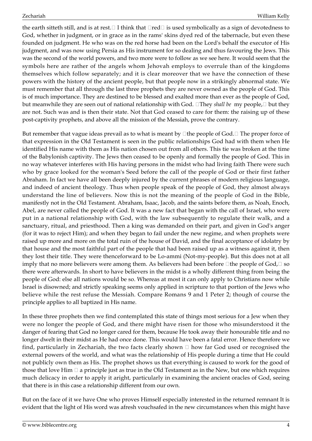the earth sitteth still, and is at rest.  $\Box$  I think that  $\Box$ red $\Box$  is used symbolically as a sign of devotedness to God, whether in judgment, or in grace as in the rams' skins dyed red of the tabernacle, but even these founded on judgment. He who was on the red horse had been on the Lord's behalf the executor of His judgment, and was now using Persia as His instrument for so dealing and thus favouring the Jews. This was the second of the world powers, and two more were to follow as we see here. It would seem that the symbols here are rather of the angels whom Jehovah employs to overrule than of the kingdoms themselves which follow separately; and it is clear moreover that we have the connection of these powers with the history of the ancient people, but that people now in a strikingly abnormal state. We must remember that all through the last three prophets they are never owned as the people of God. This is of much importance. They are destined to be blessed and exalted more than ever as the people of God, but meanwhile they are seen out of national relationship with God.  $\Box$ They *shall be* my people,  $\Box$  but they are not. Such was and is then their state. Not that God ceased to care for them: the raising up of these post-captivity prophets, and above all the mission of the Messiah, prove the contrary.

But remember that vague ideas prevail as to what is meant by  $\Box$  the people of God.  $\Box$  The proper force of that expression in the Old Testament is seen in the public relationships God had with them when He identified His name with them as His nation chosen out from all others. This tie was broken at the time of the Babylonish captivity. The Jews then ceased to be openly and formally the people of God. This in no way whatever interferes with His having persons in the midst who had living faith There were such who by grace looked for the woman's Seed before the call of the people of God or their first father Abraham. In fact we have all been deeply injured by the current phrases of modern religious language, and indeed of ancient theology. Thus when people speak of the people of God, they almost always understand the line of believers. Now this is not the meaning of the people of God in the Bible, manifestly not in the Old Testament. Abraham, Isaac, Jacob, and the saints before them, as Noah, Enoch, Abel, are never called the people of God. It was a new fact that began with the call of Israel, who were put in a national relationship with God, with the law subsequently to regulate their walk, and a sanctuary, ritual, and priesthood. Then a king was demanded on their part, and given in God's anger (for it was to reject Him); and when they began to fail under the new regime, and when prophets were raised up more and more on the total ruin of the house of David, and the final acceptance of idolatry by that house and the most faithful part of the people that had been raised up as a witness against it, then they lost their title. They were thenceforward to be Lo-ammi (Not-my-people). But this does not at all imply that no more believers were among them. As believers had been before  $\Box$  the people of God,  $\Box$  so there were afterwards. In short to have believers in the midst is a wholly different thing from being the people of God: else all nations would be so. Whereas at most it can only apply to Christians now while Israel is disowned; and strictly speaking seems only applied in scripture to that portion of the Jews who believe while the rest refuse the Messiah. Compare Romans 9 and 1 Peter 2; though of course the principle applies to all baptized in His name.

In these three prophets then we find contemplated this state of things most serious for a Jew when they were no longer the people of God, and there might have risen for those who misunderstood it the danger of fearing that God no longer cared for them, because He took away their honourable title and no longer dwelt in their midst as He had once done. This would have been a fatal error. Hence therefore we find, particularly in Zechariah, the two facts clearly shown  $\Box$  how far God used or recognised the external powers of the world, and what was the relationship of His people during a time that He could not publicly own them as His. The prophet shows us that everything is caused to work for the good of those that love Him  $\Box$  a principle just as true in the Old Testament as in the New, but one which requires much delicacy in order to apply it aright, particularly in examining the ancient oracles of God, seeing that there is in this case a relationship different from our own.

But on the face of it we have One who proves Himself especially interested in the returned remnant It is evident that the light of His word was afresh vouchsafed in the new circumstances when this might have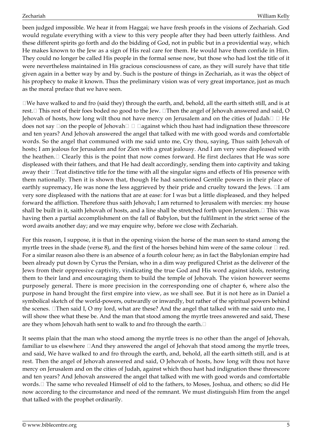been judged impossible. We hear it from Haggai; we have fresh proofs in the visions of Zechariah. God would regulate everything with a view to this very people after they had been utterly faithless. And these different spirits go forth and do the bidding of God, not in public but in a providential way, which He makes known to the Jew as a sign of His real care for them. He would have them confide in Him. They could no longer be called His people in the formal sense now, but those who had lost the title of it were nevertheless maintained in His gracious consciousness of care, as they will surely have that title given again in a better way by and by. Such is the posture of things in Zechariah, as it was the object of his prophecy to make it known. Thus the preliminary vision was of very great importance, just as much as the moral preface that we have seen.

 $\Box$ We have walked to and fro (said they) through the earth, and, behold, all the earth sitteth still, and is at rest. This rest of their foes boded no good to the Jew. Then the angel of Jehovah answered and said, O Jehovah of hosts, how long wilt thou not have mercy on Jerusalem and on the cities of Judah  $\Box$  He does not say  $\Box$  on the people of Jehovah  $\Box$   $\Box$  against which thou hast had indignation these threescore and ten years? And Jehovah answered the angel that talked with me with good words and comfortable words. So the angel that communed with me said unto me, Cry thou, saying, Thus saith Jehovah of hosts; I am jealous for Jerusalem and for Zion with a great jealousy. And I am very sore displeased with the heathen. $\Box$  Clearly this is the point that now comes forward. He first declares that He was sore displeased with their fathers, and that He had dealt accordingly, sending them into captivity and taking away their  $\Box$  Teat distinctive title for the time with all the singular signs and effects of His presence with them nationally. Then it is shown that, though He had sanctioned Gentile powers in their place of earthly supremacy, He was none the less aggrieved by their pride and cruelty toward the Jews.  $\Box$ I am very sore displeased with the nations that are at ease: for I was but a little displeased, and they helped forward the affliction. Therefore thus saith Jehovah; I am returned to Jerusalem with mercies: my house shall be built in it, saith Jehovah of hosts, and a line shall be stretched forth upon Jerusalem. $\Box$  This was having then a partial accomplishment on the fall of Babylon, but the fulfilment in the strict sense of the word awaits another day; and we may enquire why, before we close with Zechariah.

For this reason, I suppose, it is that in the opening vision the horse of the man seen to stand among the myrtle trees in the shade (verse 8), and the first of the horses behind him were of the same colour  $\Box$  red. For a similar reason also there is an absence of a fourth colour here; as in fact the Babylonian empire had been already put down by Cyrus the Persian, who in a dim way prefigured Christ as the deliverer of the Jews from their oppressive captivity, vindicating the true God and His word against idols, restoring them to their land and encouraging them to build the temple of Jehovah. The vision however seems purposely general. There is more precision in the corresponding one of chapter 6, where also the purpose in hand brought the first empire into view, as we shall see. But it is not here as in Daniel a symbolical sketch of the world-powers, outwardly or inwardly, but rather of the spiritual powers behind the scenes.  $\Box$ Then said I, O my lord, what are these? And the angel that talked with me said unto me, I will show thee what these be. And the man that stood among the myrtle trees answered and said, These are they whom Jehovah hath sent to walk to and fro through the earth.

It seems plain that the man who stood among the myrtle trees is no other than the angel of Jehovah, familiar to us elsewhere  $\Box$  And they answered the angel of Jehovah that stood among the myrtle trees, and said, We have walked to and fro through the earth, and, behold, all the earth sitteth still, and is at rest. Then the angel of Jehovah answered and said, O Jehovah of hosts, how long wilt thou not have mercy on Jerusalem and on the cities of Judah, against which thou hast had indignation these threescore and ten years? And Jehovah answered the angel that talked with me with good words and comfortable words. □ The same who revealed Himself of old to the fathers, to Moses, Joshua, and others; so did He now according to the circumstance and need of the remnant. We must distinguish Him from the angel that talked with the prophet ordinarily.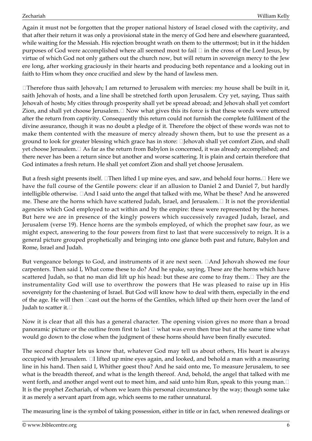Again it must not be forgotten that the proper national history of Israel closed with the captivity, and that after their return it was only a provisional state in the mercy of God here and elsewhere guaranteed, while waiting for the Messiah. His rejection brought wrath on them to the uttermost; but in it the hidden purposes of God were accomplished where all seemed most to fail  $\Box$  in the cross of the Lord Jesus, by virtue of which God not only gathers out the church now, but will return in sovereign mercy to the Jew ere long, after working graciously in their hearts and producing both repentance and a looking out in faith to Him whom they once crucified and slew by the hand of lawless men.

 $\Box$ Therefore thus saith Jehovah; I am returned to Jerusalem with mercies: my house shall be built in it, saith Jehovah of hosts, and a line shall be stretched forth upon Jerusalem. Cry yet, saying, Thus saith Jehovah of hosts; My cities through prosperity shall yet be spread abroad; and Jehovah shall yet comfort Zion, and shall yet choose Jerusalem. $\Box$  Now what gives this its force is that these words were uttered after the return from captivity. Consequently this return could not furnish the complete fulfilment of the divine assurance, though it was no doubt a pledge of it. Therefore the object of these words was not to make them contented with the measure of mercy already shown them, but to use the present as a ground to look for greater blessing which grace has in store: IJehovah shall yet comfort Zion, and shall yet choose Jerusalem. $\Box$  As far as the return from Babylon is concerned, it was already accomplished; and there never has been a return since but another and worse scattering. It is plain and certain therefore that God intimates a fresh return. He shall yet comfort Zion and shall yet choose Jerusalem.

But a fresh sight presents itself.  $\Box$ Then lifted I up mine eyes, and saw, and behold four horns. $\Box$  Here we have the full course of the Gentile powers: clear if an allusion to Daniel 2 and Daniel 7, but hardly intelligible otherwise.  $\Box$  And I said unto the angel that talked with me, What be these? And he answered me. These are the horns which have scattered Judah, Israel, and Jerusalem.  $\Box$  It is not the providential agencies which God employed to act within and by the empire: these were represented by the horses. But here we are in presence of the kingly powers which successively ravaged Judah, Israel, and Jerusalem (verse 19). Hence horns are the symbols employed, of which the prophet saw four, as we might expect, answering to the four powers from first to last that were successively to reign. It is a general picture grouped prophetically and bringing into one glance both past and future, Babylon and Rome, Israel and Judah.

But vengeance belongs to God, and instruments of it are next seen.  $\Box$  And Jehovah showed me four carpenters. Then said I, What come these to do? And he spake, saying, These are the horns which have scattered Judah, so that no man did lift up his head: but these are come to fray them.  $\Box$  They are the instrumentality God will use to overthrow the powers that He was pleased to raise up in His sovereignty for the chastening of Israel. But God will know how to deal with them, especially in the end of the age. He will then  $\Box$ cast out the horns of the Gentiles, which lifted up their horn over the land of Judah to scatter it.

Now it is clear that all this has a general character. The opening vision gives no more than a broad panoramic picture or the outline from first to last  $\Box$  what was even then true but at the same time what would go down to the close when the judgment of these horns should have been finally executed.

The second chapter lets us know that, whatever God may tell us about others, His heart is always occupied with Jerusalem.  $\Box$  lifted up mine eyes again, and looked, and behold a man with a measuring line in his hand. Then said I, Whither goest thou? And he said onto me, To measure Jerusalem, to see what is the breadth thereof, and what is the length thereof. And, behold, the angel that talked with me went forth, and another angel went out to meet him, and said unto him Run, speak to this young man. It is the prophet Zechariah, of whom we learn this personal circumstance by the way; though some take it as merely a servant apart from age, which seems to me rather unnatural.

The measuring line is the symbol of taking possession, either in title or in fact, when renewed dealings or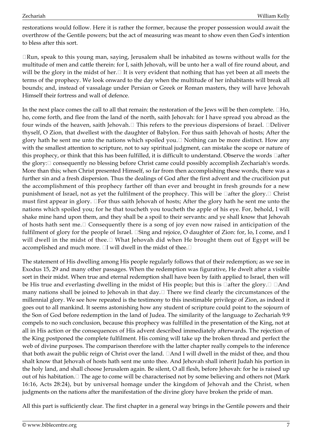restorations would follow. Here it is rather the former, because the proper possession would await the overthrow of the Gentile powers; but the act of measuring was meant to show even then God's intention to bless after this sort.

 $\Box$ Run, speak to this young man, saying, Jerusalem shall be inhabited as towns without walls for the multitude of men and cattle therein: for I, saith Jehovah, will be unto her a wall of fire round about, and will be the glory in the midst of her. $\Box$  It is very evident that nothing that has yet been at all meets the terms of the prophecy. We look onward to the day when the multitude of her inhabitants will break all bounds; and, instead of vassalage under Persian or Greek or Roman masters, they will have Jehovah Himself their fortress and wall of defence.

In the next place comes the call to all that remain: the restoration of the Jews will be then complete.  $\Box$ Ho, ho, come forth, and flee from the land of the north, saith Jehovah: for I have spread you abroad as the four winds of the heaven, saith Jehovah.  $\Box$  This refers to the previous dispersions of Israel.  $\Box$ Deliver thyself, O Zion, that dwellest with the daughter of Babylon. For thus saith Jehovah of hosts; After the glory hath he sent me unto the nations which spoiled you.  $\Box$  Nothing can be more distinct. How any with the smallest attention to scripture, not to say spiritual judgment, can mistake the scope or nature of this prophecy, or think that this has been fulfilled, it is difficult to understand. Observe the words  $\Box$  after the glory:  $\Box$  consequently no blessing before Christ came could possibly accomplish Zechariah's words. More than this; when Christ presented Himself, so far from then accomplishing these words, there was a further sin and a fresh dispersion. Thus the dealings of God after the first advent and the crucifixion put the accomplishment of this prophecy farther off than ever and brought in fresh grounds for a new punishment of Israel, not as yet the fulfilment of the prophecy. This will be  $\Box$ after the glory. $\Box$  Christ must first appear in glory.  $\Box$  For thus saith Jehovah of hosts; After the glory hath he sent me unto the nations which spoiled you; for he that toucheth you toucheth the apple of his eye. For, behold, I will shake mine hand upon them, and they shall be a spoil to their servants: and ye shall know that Jehovah of hosts hath sent me.  $\Box$  Consequently there is a song of joy even now raised in anticipation of the fulfilment of glory for the people of Israel.  $\square$ Sing and rejoice, O daughter of Zion: for, lo, I come, and I will dwell in the midst of thee. $\Box$  What Jehovah did when He brought them out of Egypt will be accomplished and much more.  $\Box I$  will dwell in the midst of thee.  $\Box$ 

The statement of His dwelling among His people regularly follows that of their redemption; as we see in Exodus 15, 29 and many other passages. When the redemption was figurative, He dwelt after a visible sort in their midst. When true and eternal redemption shall have been by faith applied to Israel, then will be His true and everlasting dwelling in the midst of His people; but this is  $\Box$ after the glory.  $\Box$   $\Box$  And many nations shall be joined to Jehovah in that day.  $\Box$  There we find clearly the circumstances of the millennial glory. We see how repeated is the testimony to this inestimable privilege of Zion, as indeed it goes out to all mankind. It seems astonishing how any student of scripture could point to the sojourn of the Son of God before redemption in the land of Judea. The similarity of the language to Zechariah 9:9 compels to no such conclusion, because this prophecy was fulfilled in the presentation of the King, not at all in His action or the consequences of His advent described immediately afterwards. The rejection of the King postponed the complete fulfilment. His coming will take up the broken thread and perfect the web of divine purposes. The comparison therefore with the latter chapter really compels to the inference that both await the public reign of Christ over the land.  $\Box$  And I will dwell in the midst of thee, and thou shalt know that Jehovah of hosts hath sent me unto thee. And Jehovah shall inherit Judah his portion in the holy land, and shall choose Jerusalem again. Be silent, O all flesh, before Jehovah: for he is raised up out of his habitation.  $\Box$  The age to come will be characterised not by some believing and others not (Mark 16:16, Acts 28:24), but by universal homage under the kingdom of Jehovah and the Christ, when judgments on the nations after the manifestation of the divine glory have broken the pride of man.

All this part is sufficiently clear. The first chapter in a general way brings in the Gentile powers and their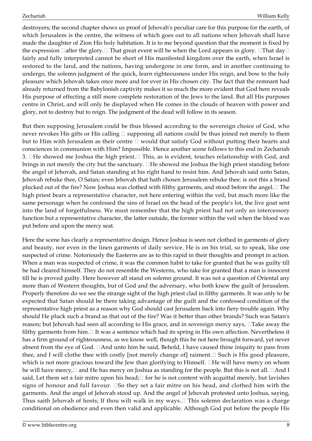destroyers; the second chapter shows us proof of Jehovah's peculiar care for this purpose for the earth, of which Jerusalem is the centre, the witness of which goes out to all nations when Jehovah shall have made the daughter of Zion His holy habitation. It is to me beyond question that the moment is fixed by the expression  $\Box$  after the glory.  $\Box$  That great event will be when the Lord appears in glory.  $\Box$  That day  $\Box$ fairly and fully interpreted cannot be short of His manifested kingdom over the earth, when Israel is restored to the land, and the nations, having undergone in one form, and in another continuing to undergo, the solemn judgment of the quick, learn righteousness under His reign, and bow to the holy pleasure which Jehovah takes once more and for ever in His chosen city. The fact that the remnant had already returned from the Babylonish captivity makes it so much the more evident that God here reveals His purpose of effecting a still more complete restoration of the Jews to the land. But all His purposes centre in Christ, and will only be displayed when He comes in the clouds of heaven with power and glory, not to destroy but to reign. The judgment of the dead will follow in its season.

But then supposing Jerusalem could be thus blessed according to the sovereign choice of God, who never revokes His gifts or His calling  $\Box$  supposing all nations could be thus joined not merely to them but to Him with Jerusalem as their centre  $\Box$  would that satisfy God without putting their hearts and consciences in communion with Him? Impossible. Hence another scene follows to this end in Zechariah 3.  $\Box$  He showed me Joshua the high priest. $\Box$  This, as is evident, touches relationship with God, and brings in not merely the city but the sanctuary.  $\Box$  He showed me Joshua the high priest standing before the angel of Jehovah, and Satan standing at his right hand to resist him. And Jehovah said unto Satan, Jehovah rebuke thee, O Satan; even Jehovah that hath chosen Jerusalem rebuke thee: is not this a brand plucked out of the fire? Now Joshua was clothed with filthy garments, and stood before the angel.  $\Box$  The high priest bears a representative character, not here entering within the veil, but much more like the same personage when he confessed the sins of Israel on the head of the people's lot, the live goat sent into the land of forgetfulness. We must remember that the high priest had not only an intercessory function but a representative character, the latter outside, the former within the veil when the blood was put before and upon the mercy seat.

Here the scene has clearly a representative design. Hence Joshua is seen not clothed in garments of glory and beauty, nor even in the linen garments of daily service. He is on his trial, so to speak, like one suspected of crime. Notoriously the Easterns are as to this rapid in their thoughts and prompt in action. When a man was suspected of crime, it was the common habit to take for granted that he was guilty till he had cleared himself. They do not resemble the Westerns, who take for granted that a man is innocent till he is proved guilty. Here however all stand on solemn ground. It was not a question of Oriental any more than of Western thoughts, but of God and the adversary, who both knew the guilt of Jerusalem. Properly therefore do we see the strange sight of the high priest clad in filthy garments. It was only to be expected that Satan should be there taking advantage of the guilt and the confessed condition of the representative high priest as a reason why God should cast Jerusalem back into fiery trouble again. Why should He pluck such a brand as that out of the fire? Was it better than other brands? Such was Satan's reason; but Jehovah had seen all according to His grace, and in sovereign mercy says,  $\Box$ Take away the filthy garments from him.  $\Box$  It was a sentence which had its spring in His own affection. Nevertheless it has a firm ground of righteousness, as we know well, though this be not here brought forward, yet never absent from the eye of God.  $\Box$  And unto him he said, Behold, I have caused thine iniquity to pass from thee, and I will clothe thee with costly [not merely change of] raiment.  $\Box$  Such is His good pleasure, which is not more gracious toward the Jew than glorifying to Himself.  $\Box$  He will have mercy on whom he will have mercy,  $\Box$  and He has mercy on Joshua as standing for the people. But this is not all.  $\Box$ And I said, Let them set a fair mitre upon his head;  $\Box$  for he is not content with acquittal merely, but lavishes signs of honour and full favour.  $\square$  So they set a fair mitre on his head, and clothed him with the garments. And the angel of Jehovah stood up. And the angel of Jehovah protested unto Joshua, saying, Thus saith Jehovah of hosts; If thou wilt walk in my ways. $\Box$  This solemn declaration was a charge conditional on obedience and even then valid and applicable. Although God put before the people His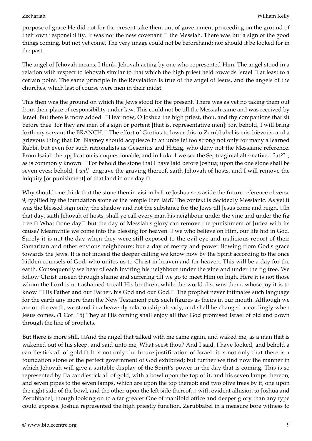purpose of grace He did not for the present take them out of government proceeding on the ground of their own responsibility. It was not the new covenant  $\Box$  the Messiah. There was but a sign of the good things coming, but not yet come. The very image could not be beforehand; nor should it be looked for in the past.

The angel of Jehovah means, I think, Jehovah acting by one who represented Him. The angel stood in a relation with respect to Jehovah similar to that which the high priest held towards Israel  $\Box$  at least to a certain point. The same principle in the Revelation is true of the angel of Jesus, and the angels of the churches, which last of course were men in their midst.

This then was the ground on which the Jews stood for the present. There was as yet no taking them out from their place of responsibility under law. This could not be till the Messiah came and was received by Israel. But there is more added.  $\Box$  Hear now, O Joshua the high priest, thou, and thy companions that sit before thee: for they are men of a sign or portent [that is, representative men]: for, behold, I will bring forth my servant the BRANCH.  $\Box$  The effort of Grotius to lower this to Zerubbabel is mischievous; and a grievous thing that Dr. Blayney should acquiesce in an unbelief too strong not only for many a learned Rabbi, but even for such rationalists as Gesenius and Hitzig, who deny not the Messianic reference. From Isaiah the application is unquestionable; and in Luke 1 we see the Septuagintal alternative, ' ?at??' , as is commonly known.  $\Box$  For behold the stone that I have laid before Joshua; upon the one stone shall be seven eyes: behold, I *will* engrave the graving thereof, saith Jehovah of hosts, and I will remove the iniquity [or punishment] of that land in one day.

Why should one think that the stone then in vision before Joshua sets aside the future reference of verse 9, typified by the foundation stone of the temple then laid? The context is decidedly Messianic. As yet it was the blessed sign only; the shadow and not the substance for the Jews till Jesus come and reign.  $\Box$ In that day, saith Jehovah of hosts, shall ye call every man his neighbour under the vine and under the fig tree.  $\Box$  What  $\Box$ one day  $\Box$  but the day of Messiah's glory can remove the punishment of Judea with its cause? Meanwhile we come into the blessing for heaven  $\Box$  we who believe on Him, our life hid in God. Surely it is not the day when they were still exposed to the evil eye and malicious report of their Samaritan and other envious neighbours; but a day of mercy and power flowing from God's grace towards the Jews. It is not indeed the deeper calling we know now by the Spirit according to the once hidden counsels of God, who unites us to Christ in heaven and for heaven. This will be a day for the earth. Consequently we hear of each inviting his neighbour under the vine and under the fig tree. We follow Christ unseen through shame and suffering till we go to meet Him on high. Here it is not those whom the Lord is not ashamed to call His brethren, while the world disowns them, whose joy it is to know  $\Box$ His Father and our Father, his God and our God. $\Box$  The prophet never intimates such language for the earth any more than the New Testament puts such figures as theirs in our mouth. Although we are on the earth, we stand in a heavenly relationship already, and shall be changed accordingly when Jesus comes. (1 Cor. 15) They at His coming shall enjoy all that God promised Israel of old and down through the line of prophets.

But there is more still.  $\Box$  And the angel that talked with me came again, and waked me, as a man that is wakened out of his sleep, and said unto me, What seest thou? And I said, I have looked, and behold a candlestick all of gold. $\Box$  It is not only the future justification of Israel: it is not only that there is a foundation stone of the perfect government of God exhibited; but further we find now the manner in which Jehovah will give a suitable display of the Spirit's power in the day that is coming. This is so represented by  $\Box a$  candlestick all of gold, with a bowl upon the top of it, and his seven lamps thereon, and seven pipes to the seven lamps, which are upon the top thereof: and two olive trees by it, one upon the right side of the bowl, and the other upon the left side thereof,  $\Box$  with evident allusion to Joshua and Zerubbabel, though looking on to a far greater One of manifold office and deeper glory than any type could express. Joshua represented the high priestly function, Zerubbabel in a measure bore witness to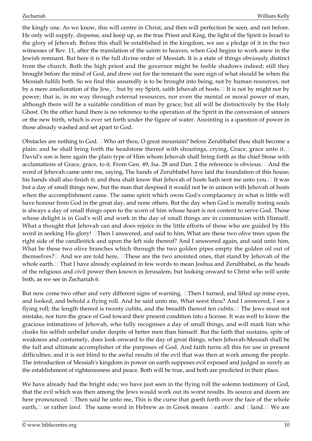the kingly one. As we know, this will centre in Christ, and then will perfection be seen, and not before. He only will supply, dispense, and keep up, as the true Priest and King, the light of the Spirit in Israel to the glory of Jehovah. Before this shall be established in the kingdom, we see a pledge of it in the two witnesses of Rev. 11, after the translation of the saints to heaven, when God begins to work anew in the Jewish remnant. But here it is the full divine order of Messiah. It is a state of things obviously distinct from the church. Both the high priest and the governor might be feeble shadows indeed; still they brought before the mind of God, and drew out for the remnant the sure sign of what should be when the Messiah fulfils both. So we find this assuredly is to be brought into being, not by human resources, not by a mere amelioration of the Jew,  $\Box$ but by my Spirit, saith Jehovah of hosts. $\Box$  It is not by might nor by power; that is, in no way through external resources, nor even the mental or moral power of man, although there will be a suitable condition of man by grace; but all will be distinctively by the Holy Ghost. On the other hand there is no reference to the operation of the Spirit in the conversion of sinners or the new birth, which is ever set forth under the figure of water. Anointing is a question of power in those already washed and set apart to God.

Obstacles are nothing to God. UWho art thou, O great mountain? before Zerubbabel thou shalt become a plain: and he shall bring forth the headstone thereof with shoutings, crying, Grace, grace unto it.  $\Box$ David's son is here again the plain type of Him whom Jehovah shall bring forth as the chief Stone with acclamations of Grace, grace, to it. From Gen. 49, Isa. 28 and Dan. 2 the reference is obvious.  $\Box$ And the word of Jehovah came unto me, saying, The hands of Zerubbabel have laid the foundation of this house; his hands shall also finish it; and thou shalt know that Jehovah of hosts hath sent me unto you.  $\Box$  It was but a day of small things now, but the man that despised it would not be in unison with Jehovah of hosts when the accomplishment came. The same spirit which owns God's complacency in what is little will have honour from God in the great day, and none others. But the day when God is morally testing souls is always a day of small things open to the scorn of him whose heart is not content to serve God. Those whose delight is in God's will and work in the day of small things are in communion with Himself. What a thought that Jehovah can and does rejoice in the little efforts of those who are guided by His word in seeking His glory!  $\Box$  Then I answered, and said to him, What are these two olive trees upon the right side of the candlestick and upon the left side thereof? And I answered again, and said unto him, What be these two olive branches which through the two golden pipes empty the golden oil out of themselves?  $\Box$  And we are told here,  $\Box$  These are the two anointed ones, that stand by Jehovah of the whole earth. I That I have already explained in few words to mean Joshua and Zerubbabel, as the heads of the religious and civil power then known in Jerusalem, but looking onward to Christ who will unite both, as we see in Zechariah 6.

But now come two other and very different signs of warning.  $\Box$ Then I turned, and lifted up mine eyes, and looked, and behold a flying roll. And he said unto me, What seest thou? And I answered, I see a flying roll; the length thereof is twenty cubits, and the breadth thereof ten cubits.  $\Box$  The Jews must not mistake, nor turn the grace of God toward their present condition into a license. It was well to know the gracious intimations of Jehovah, who fully recognises a day of small things, and will mark him who cloaks his selfish unbelief under despite of better men than himself. But the faith that sustains, spite of weakness and contumely, does look onward to the day of great things, when Jehovah-Messiah shall be the full and ultimate accomplisher of the purposes of God. And faith turns all this for use in present difficulties; and it is not blind to the awful results of the evil that was then at work among the people. The introduction of Messiah's kingdom in power on earth supposes evil exposed and judged as surely as the establishment of righteousness and peace. Both will be true, and both are predicted in their place.

We have already had the bright side; we have just seen in the flying roll the solemn testimony of God, that the evil which was then among the Jews would work out its worst results. Its source and doom are here pronounced.  $\Box$  Then said he unto me, This is the curse that goeth forth over the face of the whole earth,  $\Box$  or rather *land.* The same word in Hebrew as in Greek means  $\Box$ earth  $\Box$  and  $\Box$  land.  $\Box$  We are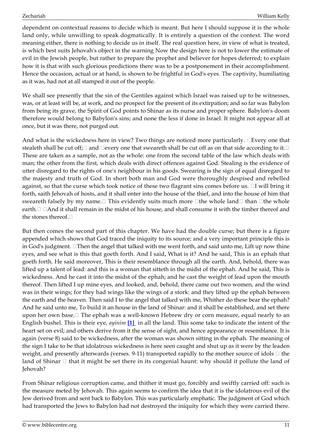dependent on contextual reasons to decide which is meant. But here I should suppose it is the whole land only, while unwilling to speak dogmatically. It is entirely a question of the context. The word meaning either, there is nothing to decide us in itself. The real question here, in view of what is treated, is which best suits Jehovah's object in the warning Now the design here is not to lower the estimate of evil in the Jewish people, but rather to prepare the prophet and believer for hopes deferred; to explain how it is that with such glorious predictions there was to be a postponement in their accomplishment. Hence the occasion, actual or at hand, is shown to be frightful in God's eyes. The captivity, humiliating as it was, had not at all stamped it out of the people.

We shall see presently that the sin of the Gentiles against which Israel was raised up to be witnesses, was, or at least will be, at work, and no prospect for the present of its extirpation; and so far was Babylon from being its grave, the Spirit of God points to Shinar as its nurse and proper sphere. Babylon's doom therefore would belong to Babylon's sins; and none the less if done in Israel. It might not appear all at once, but it was there, not purged out.

And what is the wickedness here in view? Two things are noticed more particularly.  $\Box$ Every one that stealeth shall be cut off;  $\Box$  and  $\Box$ every one that sweareth shall be cut off as on that side according to it.  $\Box$ These are taken as a sample, not as the whole: one from the second table of the law which deals with man; the other from the first, which deals with direct offences against God. Stealing is the evidence of utter disregard to the rights of one's neighbour in his goods. Swearing is the sign of equal disregard to the majesty and truth of God. In short both man and God were thoroughly despised and rebelled against, so that the curse which took notice of these two flagrant sins comes before us.  $\Box I$  will bring it forth, saith Jehovah of hosts, and it shall enter into the house of the thief, and into the house of him that sweareth falsely by my name.  $\Box$  This evidently suits much more  $\Box$  the whole land  $\Box$  than  $\Box$  the whole earth.  $\Box$   $\Box$  And it shall remain in the midst of his house, and shall consume it with the timber thereof and the stones thereof.

But then comes the second part of this chapter. We have had the double curse; but there is a figure appended which shows that God traced the iniquity to its source; and a very important principle this is in God's judgment.  $\Box$  Then the angel that talked with me went forth, and said unto me, Lift up now thine eyes, and see what is this that goeth forth. And I said, What is it? And he said, This is an ephah that goeth forth. He said moreover, This is their resemblance through all the earth. And, behold, there was lifted up a talent of lead: and this is a woman that sitteth in the midst of the ephah. And he said, This is wickedness. And he cast it into the midst of the ephah; and he cast the weight of lead upon the mouth thereof. Then lifted I up mine eyes, and looked, and, behold, there came out two women, and the wind was in their wings; for they had wings like the wings of a stork: and they lifted up the ephah between the earth and the heaven. Then said I to the angel that talked with me, Whither do these bear the ephah? And he said unto me, To build it an house in the land of Shinar: and it shall be established, and set there upon her own base.  $\Box$  The ephah was a well-known Hebrew dry or corn measure, equal nearly to an English bushel. This is their eye, *ayinim* **[\[1\]](#page-26-0)** in all the land. This some take to indicate the intent of the heart set on evil; and others derive from it the sense of sight, and hence appearance or resemblance. It is again (verse 8) said to be wickedness, after the woman was shown sitting in the ephah. The meaning of the sign I take to be that idolatrous wickedness is here seen caught and shut up as it were by the leaden weight, and presently afterwards (verses. 9-11) transported rapidly to the mother source of idols  $\Box$  the land of Shinar  $\Box$  that it might be set there in its congenial haunt: why should it pollute the land of Jehovah?

<span id="page-10-0"></span>From Shinar religious corruption came, and thither it must go, forcibly and swiftly carried off: such is the measure meted by Jehovah. This again seems to confirm the idea that it is the idolatrous evil of the Jew derived from and sent back to Babylon. This was particularly emphatic. The judgment of God which had transported the Jews to Babylon had not destroyed the iniquity for which they were carried there.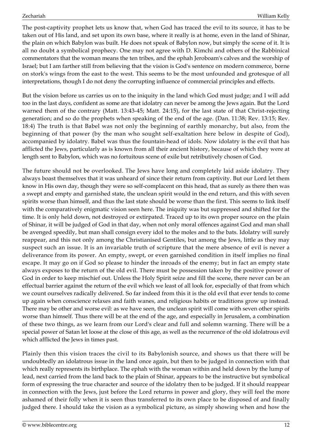The post-captivity prophet lets us know that, when God has traced the evil to its source, it has to be taken out of His land, and set upon its own base, where it really is at home, even in the land of Shinar, the plain on which Babylon was built. He does not speak of Babylon now, but simply the scene of it. It is all no doubt a symbolical prophecy. One may not agree with D. Kimchi and others of the Rabbinical commentators that the woman means the ten tribes, and the ephah Jeroboam's calves and the worship of Israel; but I am farther still from believing that the vision is God's sentence on modern commerce, borne on stork's wings from the east to the west. This seems to be the most unfounded and grotesque of all interpretations, though I do not deny the corrupting influence of commercial principles and effects.

But the vision before us carries us on to the iniquity in the land which God must judge; and I will add too in the last days, confident as some are that idolatry can never be among the Jews again. But the Lord warned them of the contrary (Matt. 13:43-45; Matt. 24:15), for the last state of that Christ-rejecting generation; and so do the prophets when speaking of the end of the age. (Dan. 11:38; Rev. 13:15; Rev. 18:4) The truth is that Babel was not only the beginning of earthly monarchy, but also, from the beginning of that power (by the man who sought self-exaltation here below in despite of God), accompanied by idolatry. Babel was thus the fountain-head of idols. Now idolatry is the evil that has afflicted the Jews, particularly as is known from all their ancient history, because of which they were at length sent to Babylon, which was no fortuitous scene of exile but retributively chosen of God.

The future should not be overlooked. The Jews have long and completely laid aside idolatry. They always boast themselves that it was unheard of since their return from captivity. But our Lord let them know in His own day, though they were so self-complacent on this head, that as surely as there then was a swept and empty and garnished state, the unclean spirit would in the end return, and this with seven spirits worse than himself, and thus the last state should be worse than the first. This seems to link itself with the comparatively enigmatic vision seen here. The iniquity was but suppressed and shifted for the time. It is only held down, not destroyed or extirpated. Traced up to its own proper source on the plain of Shinar, it will be judged of God in that day, when not only moral offences against God and man shall be avenged speedily, but man shall consign every idol to the moles and to the bats. Idolatry will surely reappear, and this not only among the Christianised Gentiles, but among the Jews, little as they may suspect such an issue. It is an invariable truth of scripture that the mere absence of evil is never a deliverance from its power. An empty, swept, or even garnished condition in itself implies no final escape. It may go on if God so please to hinder the inroads of the enemy; but in fact an empty state always exposes to the return of the old evil. There must be possession taken by the positive power of God in order to keep mischief out. Unless the Holy Spirit seize and fill the scene, there never can be an effectual barrier against the return of the evil which we least of all look for, especially of that from which we count ourselves radically delivered. So far indeed from this it is the old evil that ever tends to come up again when conscience relaxes and faith wanes, and religious habits or traditions grow up instead. There may be other and worse evil: as we have seen, the unclean spirit will come with seven other spirits worse than himself. Thus there will be at the end of the age, and especially in Jerusalem, a combination of these two things, as we learn from our Lord's clear and full and solemn warning. There will be a special power of Satan let loose at the close of this age, as well as the recurrence of the old idolatrous evil which afflicted the Jews in times past.

Plainly then this vision traces the civil to its Babylonish source, and shows us that there will be undoubtedly an idolatrous issue in the land once again, but then to be judged in connection with that which really represents its birthplace. The ephah with the woman within and held down by the lump of lead, next carried from the land back to the plain of Shinar, appears to be the instructive but symbolical form of expressing the true character and source of the idolatry then to be judged. If it should reappear in connection with the Jews, just before the Lord returns in power and glory, they will feel the more ashamed of their folly when it is seen thus transferred to its own place to be disposed of and finally judged there. I should take the vision as a symbolical picture, as simply showing when and how the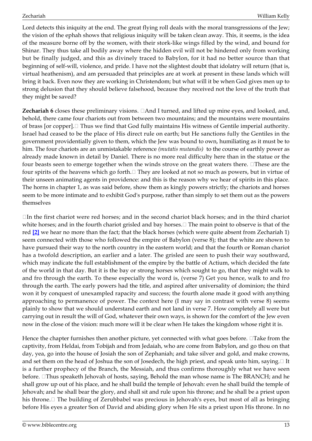Lord detects this iniquity at the end. The great flying roll deals with the moral transgressions of the Jew; the vision of the ephah shows that religious iniquity will be taken clean away. This, it seems, is the idea of the measure borne off by the women, with their stork-like wings filled by the wind, and bound for Shinar. They thus take all bodily away where the hidden evil will not be hindered only from working but be finally judged, and this as divinely traced to Babylon, for it had no better source than that beginning of self-will, violence, and pride. I have not the slightest doubt that idolatry will return (that is, virtual heathenism), and am persuaded that principles are at work at present in these lands which will bring it back. Even now they are working in Christendom; but what will it be when God gives men up to strong delusion that they should believe falsehood, because they received not the love of the truth that they might be saved?

**Zechariah 6** closes these preliminary visions.  $\Box$  And I turned, and lifted up mine eyes, and looked, and, behold, there came four chariots out from between two mountains; and the mountains were mountains of brass [or copper].  $\Box$  Thus we find that God fully maintains His witness of Gentile imperial authority. Israel had ceased to be the place of His direct rule on earth; but He sanctions fully the Gentiles in the government providentially given to them, which the Jew was bound to own, humiliating as it must be to him. The four chariots are an unmistakable reference *(mutatis mutandis)* to the course of earthly power as already made known in detail by Daniel. There is no more real difficulty here than in the statue or the four beasts seen to emerge together when the winds strove on the great waters there. IThese are the four spirits of the heavens which go forth. $\Box$  They are looked at not so much as powers, but in virtue of their unseen animating agents in providence: and this is the reason why we hear of spirits in this place. The horns in chapter 1, as was said before, show them as kingly powers strictly; the chariots and horses seem to be more intimate and to exhibit God's purpose, rather than simply to set them out as the powers themselves

<span id="page-12-0"></span> $\Box$ In the first chariot were red horses; and in the second chariot black horses; and in the third chariot white horses; and in the fourth chariot grisled and bay horses.  $\Box$  The main point to observe is that of the red **[\[2\]](#page-26-1)** we hear no more than the fact; that the black horses (which were quite absent from Zechariah 1) seem connected with those who followed the empire of Babylon (verse 8); that the white are shown to have pursued their way to the north country in the eastern world; and that the fourth or Roman chariot has a twofold description, an earlier and a later. The grisled are seen to push their way southward, which may indicate the full establishment of the empire by the battle of Actium, which decided the fate of the world in that day. But it is the bay or strong horses which sought to go, that they might walk to and fro through the earth. To these especially the word is, (verse 7) Get you hence, walk to and fro through the earth. The early powers had the title, and aspired after universality of dominion; the third won it by conquest of unexampled rapacity and success; the fourth alone made it good with anything approaching to permanence of power. The context here (I may say in contrast with verse 8) seems plainly to show that we should understand earth and not land in verse 7. How completely all were but carrying out in result the will of God, whatever their own ways, is shown for the comfort of the Jew even now in the close of the vision: much more will it be clear when He takes the kingdom whose right it is.

Hence the chapter furnishes then another picture, yet connected with what goes before.  $\Box$ Take from the captivity, from Heldai, from Tobijah and from Jedaiah, who are come from Babylon, and go thou on that day, yea, go into the house of Josiah the son of Zephaniah; and take silver and gold, and make crowns, and set them on the head of Joshua the son of Josedech, the high priest, and speak unto him, saying. I It is a further prophecy of the Branch, the Messiah, and thus confirms thoroughly what we have seen before. Thus speaketh Jehovah of hosts, saying, Behold the man whose name is The BRANCH; and he shall grow up out of his place, and he shall build the temple of Jehovah: even he shall build the temple of Jehovah; and he shall bear the glory, and shall sit and rule upon his throne; and he shall be a priest upon his throne.  $\Box$  The building of Zerubbabel was precious in Jehovah's eyes, but most of all as bringing before His eyes a greater Son of David and abiding glory when He sits a priest upon His throne. In no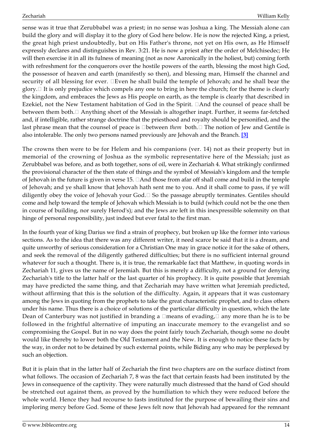sense was it true that Zerubbabel was a priest; in no sense was Joshua a king. The Messiah alone can build the glory and will display it to the glory of God here below. He is now the rejected King, a priest, the great high priest undoubtedly, but on His Father's throne, not yet on His own, as He Himself expressly declares and distinguishes in Rev. 3:21. He is now a priest after the order of Melchisedec; He will then exercise it in all its fulness of meaning (not as now Aaronically in the holiest, but) coming forth with refreshment for the conquerors over the hostile powers of the earth, blessing the most high God, the possessor of heaven and earth (manifestly so then), and blessing man, Himself the channel and security of all blessing for ever. Even he shall build the temple of Jehovah; and he shall bear the glory.  $\Box$  It is only prejudice which compels any one to bring in here the church; for the theme is clearly the kingdom, and embraces the Jews as His people on earth, as the temple is clearly that described in Ezekiel, not the New Testament habitation of God in the Spirit.  $\Box$  And the counsel of peace shall be between them both. $\Box$  Anything short of the Messiah is altogether inapt. Further, it seems far-fetched and, if intelligible, rather strange doctrine that the priesthood and royalty should be personified, and the last phrase mean that the counsel of peace is □between *them* both. □ The notion of Jew and Gentile is also intolerable. The only two persons named previously are Jehovah and the Branch. **[\[3\]](#page-26-2)**

<span id="page-13-0"></span>The crowns then were to be for Helem and his companions (ver. 14) not as their property but in memorial of the crowning of Joshua as the symbolic representative here of the Messiah; just as Zerubbabel was before, and as both together, sons of oil, were in Zechariah 4. What strikingly confirmed the provisional character of the then state of things and the symbol of Messiah's kingdom and the temple of Jehovah in the future is given in verse 15.  $\Box$  And those from afar off shall come and build in the temple of Jehovah; and ye shall know that Jehovah hath sent me to you. And it shall come to pass, if ye will diligently obey the voice of Jehovah your God.  $\Box$  So the passage abruptly terminates. Gentiles should come and help toward the temple of Jehovah which Messiah is to build (which could not be the one then in course of building, nor surely Herod's); and the Jews are left in this inexpressible solemnity on that hinge of personal responsibility, just indeed but ever fatal to the first man.

In the fourth year of king Darius we find a strain of prophecy, but broken up like the former into various sections. As to the idea that there was any different writer, it need scarce be said that it is a dream, and quite unworthy of serious consideration for a Christian One may in grace notice it for the sake of others, and seek the removal of the diligently gathered difficulties; but there is no sufficient internal ground whatever for such a thought. There is, it is true, the remarkable fact that Matthew, in quoting words in Zechariah 11, gives us the name of Jeremiah. But this is merely a difficulty, not a ground for denying Zechariah's title to the latter half or the last quarter of his prophecy. It is quite possible that Jeremiah may have predicted the same thing, and that Zechariah may have written what Jeremiah predicted, without affirming that this is the solution of the difficulty. Again, it appears that it was customary among the Jews in quoting from the prophets to take the great characteristic prophet, and to class others under his name. Thus there is a choice of solutions of the particular difficulty in question, which the late Dean of Canterbury was not justified in branding a  $\Box$ means of evading,  $\Box$  any more than he is to be followed in the frightful alternative of imputing an inaccurate memory to the evangelist and so compromising the Gospel. But in no way does the point fairly touch Zechariah, though some no doubt would like thereby to lower both the Old Testament and the New. It is enough to notice these facts by the way, in order not to be detained by such external points, while Biding any who may be perplexed by such an objection.

But it is plain that in the latter half of Zechariah the first two chapters are on the surface distinct from what follows. The occasion of Zechariah 7, 8 was the fact that certain feasts had been instituted by the Jews in consequence of the captivity. They were naturally much distressed that the hand of God should be stretched out against them, as proved by the humiliation to which they were reduced before the whole world. Hence they had recourse to fasts instituted for the purpose of bewailing their sins and imploring mercy before God. Some of these Jews felt now that Jehovah had appeared for the remnant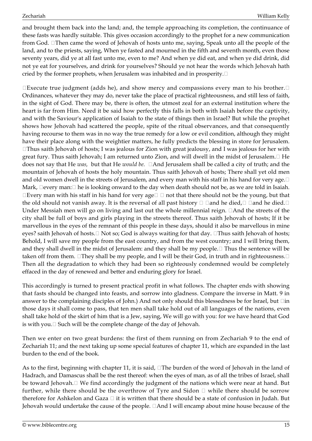and brought them back into the land; and, the temple approaching its completion, the continuance of these fasts was hardly suitable. This gives occasion accordingly to the prophet for a new communication from God. Then came the word of Jehovah of hosts unto me, saying, Speak unto all the people of the land, and to the priests, saying, When ye fasted and mourned in the fifth and seventh month, even those seventy years, did ye at all fast unto me, even to me? And when ye did eat, and when ye did drink, did not ye eat for yourselves, and drink for yourselves? Should ye not hear the words which Jehovah hath cried by the former prophets, when Jerusalem was inhabited and in prosperity.  $\square$ 

 $\square$  Execute true judgment (adds he), and show mercy and compassions every man to his brother. $\square$ Ordinances, whatever they may do, never take the place of practical righteousness, and still less of faith, in the sight of God. There may be, there is often, the utmost zeal for an external institution where the heart is far from Him. Need it be said how perfectly this falls in both with Isaiah before the captivity, and with the Saviour's application of Isaiah to the state of things then in Israel? But while the prophet shows how Jehovah had scattered the people, spite of the ritual observances, and that consequently having recourse to them was in no way the true remedy for a low or evil condition, although they might have their place along with the weightier matters, he fully predicts the blessing in store for Jerusalem.  $\Box$ Thus saith Jehovah of hosts; I was jealous for Zion with great jealousy, and I was jealous for her with great fury. Thus saith Jehovah; I am returned unto Zion, and will dwell in the midst of Jerusalem. $\Box$  He does not say that He *was*, but that He *would be.*  $\Box$ And Jerusalem shall be called a city of truth; and the mountain of Jehovah of hosts the holy mountain. Thus saith Jehovah of hosts; There shall yet old men and old women dwell in the streets of Jerusalem, and every man with his staff in his hand for very age.<sup>[1]</sup> Mark,  $\Box$  every man:  $\Box$  he is looking onward to the day when death should not be, as we are told in Isaiah.  $\Box$ Every man with his staff in his hand for very age $\Box$   $\Box$  not that there should not be the young, but that the old should not vanish away. It is the reversal of all past history  $\Box$   $\Box$  and he died,  $\Box$   $\Box$  and he died.  $\Box$ Under Messiah men will go on living and last out the whole millennial reign.  $\Box$  And the streets of the city shall be full of boys and girls playing in the streets thereof. Thus saith Jehovah of hosts; If it be marvellous in the eyes of the remnant of this people in these days, should it also be marvellous in mine eyes? saith Jehovah of hosts.  $\Box$  Not so; God is always waiting for that day.  $\Box$ Thus saith Jehovah of hosts; Behold, I will save my people from the east country, and from the west country; and I will bring them, and they shall dwell in the midst of Jerusalem: and they shall be my people.  $\Box$  Thus the sentence will be taken off from them.  $\Box$  They shall be my people, and I will be their God, in truth and in righteousness.  $\Box$ Then all the degradation to which they had been so righteously condemned would be completely effaced in the day of renewed and better and enduring glory for Israel.

This accordingly is turned to present practical profit in what follows. The chapter ends with showing that fasts should be changed into feasts, and sorrow into gladness. Compare the inverse in Matt. 9 in answer to the complaining disciples of John.) And not only should this blessedness be for Israel, but  $\Box$ in those days it shall come to pass, that ten men shall take hold out of all languages of the nations, even shall take hold of the skirt of him that is a Jew, saying, We will go with you: for we have heard that God is with you.  $\Box$  Such will be the complete change of the day of Jehovah.

Then we enter on two great burdens: the first of them running on from Zechariah 9 to the end of Zechariah 11; and the next taking up some special features of chapter 11, which are expanded in the last burden to the end of the book.

As to the first, beginning with chapter 11, it is said,  $\Box$ The burden of the word of Jehovah in the land of Hadrach, and Damascus shall be the rest thereof: when the eyes of man, as of all the tribes of Israel, shall be toward Jehovah.  $\Box$  We find accordingly the judgment of the nations which were near at hand. But further, while there should be the overthrow of Tyre and Sidon  $\Box$  while there should be sorrow therefore for Ashkelon and Gaza  $\Box$  it is written that there should be a state of confusion in Judah. But Jehovah would undertake the cause of the people.  $\Box$  And I will encamp about mine house because of the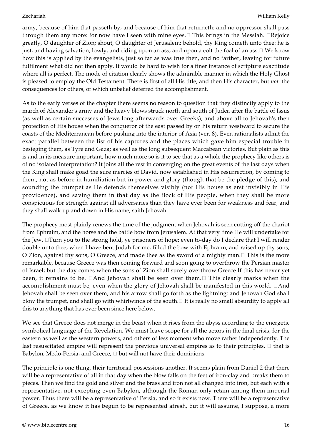army, because of him that passeth by, and because of him that returneth: and no oppressor shall pass through them any more: for now have I seen with mine eyes. $\Box$  This brings in the Messiah.  $\Box$ Rejoice greatly, O daughter of Zion; shout, O daughter of Jerusalem: behold, thy King cometh unto thee: he is just, and having salvation; lowly, and riding upon an ass, and upon a colt the foal of an ass.  $\Box$  We know how this is applied by the evangelists, just so far as was true then, and no farther, leaving for future fulfilment what did not then apply. It would be hard to wish for a finer instance of scripture exactitude where all is perfect. The mode of citation clearly shows the admirable manner in which the Holy Ghost is pleased to employ the Old Testament. There is first of all His title, and then His character, but *not* the consequences for others, of which unbelief deferred the accomplishment.

As to the early verses of the chapter there seems no reason to question that they distinctly apply to the march of Alexander's army and the heavy blows struck north and south of Judea after the battle of Issus (as well as certain successes of Jews long afterwards over Greeks), and above all to Jehovah's then protection of His house when the conqueror of the east passed by on his return westward to secure the coasts of the Mediterranean before pushing into the interior of Asia (ver. 8). Even rationalists admit the exact parallel between the list of his captures and the places which gave him especial trouble in besieging them, as Tyre and Gaza; as well as the long subsequent Maccabean victories. But plain as this is and in its measure important, how much more so is it to see that as a whole the prophecy like others is of no isolated interpretation? It joins all the rest in converging on the great events of the last days when the King shall make goad the sure mercies of David, now established in His resurrection, by coming to them, not as before in humiliation but in power and glory (though that be the pledge of this), and sounding the trumpet as He defends themselves visibly (not His house as erst invisibly in His providence), and saving them in that day as the flock of His people, when they shall be more conspicuous for strength against all adversaries than they have ever been for weakness and fear, and they shall walk up and down in His name, saith Jehovah.

The prophecy most plainly renews the time of the judgment when Jehovah is seen cutting off the chariot from Ephraim, and the horse and the battle bow from Jerusalem. At that very time He will undertake for the Jew. ITurn you to the strong hold, ye prisoners of hope: even to-day do I declare that I will render double unto thee; when I have bent Judah for me, filled the bow with Ephraim, and raised up thy sons, O Zion, against thy sons, O Greece, and made thee as the sword of a mighty man.  $\Box$  This is the more remarkable, because Greece was then coming forward and soon going to overthrow the Persian master of Israel; but the day comes when the sons of Zion shall surely overthrow Greece If this has never yet been, it remains to be.  $\Box$  And Jehovah shall be seen over them. $\Box$  This clearly marks when the accomplishment must be, even when the glory of Jehovah shall be manifested in this world.  $\Box$  And Jehovah shall be seen over them, and his arrow shall go forth as the lightning: and Jehovah God shall blow the trumpet, and shall go with whirlwinds of the south.  $\Box$  It is really no small absurdity to apply all this to anything that has ever been since here below.

We see that Greece does not merge in the beast when it rises from the abyss according to the energetic symbolical language of the Revelation. We must leave scope for all the actors in the final crisis, for the eastern as well as the western powers, and others of less moment who move rather independently. The last resuscitated empire will represent the previous universal empires as to their principles,  $\Box$  that is Babylon, Medo-Persia, and Greece,  $\Box$  but will not have their dominions.

The principle is one thing, their territorial possessions another. It seems plain from Daniel 2 that there will be a representative of all in that day when the blow falls on the feet of iron-clay and breaks them to pieces. Then we find the gold and silver and the brass and iron not all changed into iron, but each with a representative, not excepting even Babylon, although the Roman only retain among them imperial power. Thus there will be a representative of Persia, and so it exists now. There will be a representative of Greece, as we know it has begun to be represented afresh, but it will assume, I suppose, a more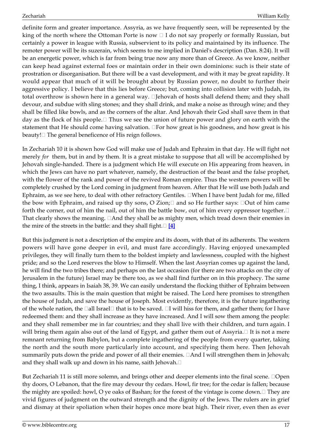definite form and greater importance. Assyria, as we have frequently seen, will be represented by the king of the north where the Ottoman Porte is now  $\Box$  I do not say properly or formally Russian, but certainly a power in league with Russia, subservient to its policy and maintained by its influence. The remoter power will be its suzerain, which seems to me implied in Daniel's description (Dan. 8:24). It will be an energetic power, which is far from being true now any more than of Greece. As we know, neither can keep head against external foes or maintain order in their own dominions: such is their state of prostration or disorganisation. But there will be a vast development, and with it may be great rapidity. It would appear that much of it will be brought about by Russian power, no doubt to further their aggressive policy. I believe that this lies before Greece; but, coming into collision later with Judah, its total overthrow is shown here in a general way.  $\square$  Jehovah of hosts shall defend them; and they shall devour, and subdue with sling stones; and they shall drink, and make a noise as through wine; and they shall be filled like bowls, and as the corners of the altar. And Jehovah their God shall save them in that day as the flock of his people.  $\Box$  Thus we see the union of future power and glory on earth with the statement that He should come having salvation.  $\Box$  For how great is his goodness, and how great is his beauty! $\Box$  The general beneficence of His reign follows.

In Zechariah 10 it is shown how God will make use of Judah and Ephraim in that day. He will fight not merely *for* them, but in and by them. It is a great mistake to suppose that all will be accomplished by Jehovah single-handed. There is a judgment which He will execute on His appearing from heaven, in which the Jews can have no part whatever, namely, the destruction of the beast and the false prophet, with the flower of the rank and power of the revived Roman empire. Thus the western powers will be completely crushed by the Lord coming in judgment from heaven. After that He will use both Judah and Ephraim, as we see here, to deal with other refractory Gentiles.  $\Box$ When I have bent Judah for me, filled the bow with Ephraim, and raised up thy sons, O Zion; $\Box$  and so He further says:  $\Box$ Out of him came forth the corner, out of him the nail, out of him the battle bow, out of him every oppressor together. That clearly shows the meaning.  $\Box$  And they shall be as mighty men, which tread down their enemies in the mire of the streets in the battle: and they shall fight. **[\[4\]](#page-26-3)**

<span id="page-16-0"></span>But this judgment is not a description of the empire and its doom, with that of its adherents. The western powers will have gone deeper in evil, and must fare accordingly. Having enjoyed unexampled privileges, they will finally turn them to the boldest impiety and lawlessness, coupled with the highest pride; and so the Lord reserves the blow to Himself. When the last Assyrian comes up against the land, he will find the two tribes there; and perhaps on the last occasion (for there are two attacks on the city of Jerusalem in the future) Israel may be there too, as we shall find further on in this prophecy. The same thing, I think, appears in Isaiah 38, 39. We can easily understand the flocking thither of Ephraim between the two assaults. This is the main question that might be raised. The Lord here promises to strengthen the house of Judah, and save the house of Joseph. Most evidently, therefore, it is the future ingathering of the whole nation, the  $\Box$ all Israel  $\Box$  that is to be saved.  $\Box$ I will hiss for them, and gather them; for I have redeemed them: and they shall increase as they have increased. And I will sow them among the people: and they shall remember me in far countries; and they shall live with their children, and turn again. I will bring them again also out of the land of Egypt, and gather them out of Assyria. $\Box$  It is not a mere remnant returning from Babylon, but a complete ingathering of the people from every quarter, taking the north and the south more particularly into account, and specifying them here. Then Jehovah summarily puts down the pride and power of all their enemies.  $\Box$  And I will strengthen them in Jehovah; and they shall walk up and down in his name, saith Jehovah.  $\square$ 

But Zechariah 11 is still more solemn, and brings other and deeper elements into the final scene. <sup>O</sup>Open thy doors, O Lebanon, that the fire may devour thy cedars. Howl, fir tree; for the cedar is fallen; because the mighty are spoiled: howl, O ye oaks of Bashan; for the forest of the vintage is come down.  $\Box$  They are vivid figures of judgment on the outward strength and the dignity of the Jews. The rulers are in grief and dismay at their spoliation when their hopes once more beat high. Their river, even then as ever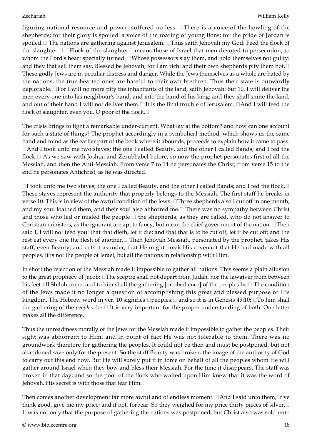figuring national resource and power, suffered no less. IThere is a voice of the howling of the shepherds; for their glory is spoiled: a voice of the roaring of young lions; for the pride of Jordan is spoiled. The nations are gathering against Jerusalem. Thus saith Jehovah my God; Feed the flock of the slaughter.  $\Box$   $\Box$  Flock of the slaughter  $\Box$  means those of Israel that men devoted to persecution, to whom the Lord's heart specially turned:  $\Box$ Whose possessors slay them, and hold themselves not guilty: and they that sell them say, Blessed be Jehovah; for I am rich: and their own shepherds pity them not. These godly Jews are in peculiar distress and danger. While the Jews themselves as a whole are hated by the nations, the true-hearted ones are hateful to their own brethren. Thus their state is outwardly deplorable.  $\Box$  For I will no more pity the inhabitants of the land, saith Jehovah: but 10, I will deliver the men every one into his neighbour's hand, and into the hand of his king: and they shall smite the land, and out of their hand I will not deliver them.  $\Box$  It is the final trouble of Jerusalem.  $\Box$  And I will feed the flock of slaughter, even you, O poor of the flock.

The crisis brings to light a remarkable under-current. What lay at the bottom? and how can one account for such a state of things? The prophet accordingly in a symbolical method, which shows us the same hand and mind as the earlier part of the book where it abounds, proceeds to explain how it came to pass.  $\Box$  And I took unto me two staves; the one I called Beauty, and the other I called Bands; and I fed the flock. $\Box$  As we saw with Joshua and Zerubbabel before, so now the prophet personates first of all the Messiah, and then the Anti-Messiah. From verse 7 to 14 he personates the Christ; from verse 15 to the end he personates Antichrist, as he was directed.

 $\Box$ I took unto me two staves; the one I called Beauty, and the other I called Bands; and I fed the flock. $\Box$ These staves represent the authority that properly belongs to the Messiah. The first staff he breaks in verse 10. This is in view of the awful condition of the Jews.  $\Box$ Three shepherds also I cut off in one month; and my soul loathed them, and their soul also abhorred me.  $\Box$  There was no sympathy between Christ and those who led or misled the people  $\Box$  the shepherds, as they are called, who do not answer to Christian ministers, as the ignorant are apt to fancy, but mean the chief government of the nation.  $\Box$ Then said I, I will not feed you: that that dieth, let it die; and that that is to be cut off, let it be cut off; and the rest eat every one the flesh of another. I Then Jehovah Messiah, personated by the prophet, takes His staff, even Beauty, and cuts it asunder, that He might break His covenant that He had made with all peoples. It is not the people of Israel, but all the nations in relationship with Him.

In short the rejection of the Messiah made it impossible to gather all nations. This seems a plain allusion to the great prophecy of Jacob: The sceptre shall not depart from Judah, nor the lawgiver from between his feet till Shiloh come; and to him shall the gathering [or obedience] of the peoples be. $\Box$  The condition of the Jews made it no longer a question of accomplishing this great and blessed purpose of His kingdom. The Hebrew word in ver. 10 signifies  $\Box$  peoples;  $\Box$  and so it is in Genesis 49:10:  $\Box$  To him shall the gathering of the *peoples* be.□ It is very important for the proper understanding of both. One letter makes all the difference.

Thus the unreadiness morally of the Jews for the Messiah made it impossible to gather the peoples. Their sight was abhorrent to Him, and in point of fact He was not tolerable to them. There was no groundwork therefore for gathering the peoples. It could not be then and must be postponed, but not abandoned save only for the present. So the staff Beauty was broken, the image of the authority of God to carry out this end now. But He will surely put it in force on behalf of all the peoples whom He will gather around Israel when they bow and bless their Messiah. For the time it disappears. The staff was broken in that day; and so the poor of the flock who waited upon Him knew that it was the word of Jehovah. His secret is with those that fear Him.

Then comes another development far more awful and of endless moment.  $\Box$  And I said unto them, If ye think good, give me my price; and if not, forbear. So they weighed for my price thirty pieces of silver. It was not only that the purpose of gathering the nations was postponed, but Christ also was sold unto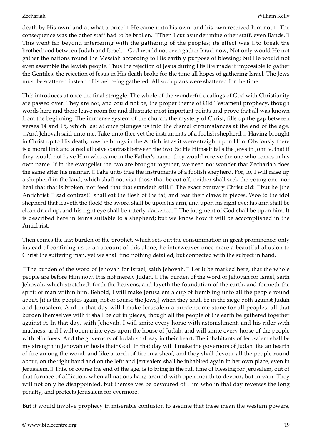death by His own! and at what a price!  $\Box$  He came unto his own, and his own received him not.  $\Box$  The consequence was the other staff had to be broken.  $\Box$  Then I cut asunder mine other staff, even Bands.  $\Box$ This went far beyond interfering with the gathering of the peoples; its effect was  $\Box$ to break the brotherhood between Judah and Israel. God would not even gather Israel now, Not only would He not gather the nations round the Messiah according to His earthly purpose of blessing; but He would not even assemble the Jewish people. Thus the rejection of Jesus during His life made it impossible to gather the Gentiles, the rejection of Jesus in His death broke for the time all hopes of gathering Israel. The Jews must be scattered instead of Israel being gathered. All such plans were shattered for the time.

This introduces at once the final struggle. The whole of the wonderful dealings of God with Christianity are passed over. They are not, and could not be, the proper theme of Old Testament prophecy, though words here and there leave room for and illustrate most important points and prove that all was known from the beginning. The immense system of the church, the mystery of Christ, fills up the gap between verses 14 and 15, which last at once plunges us into the dismal circumstances at the end of the age.  $\Box$ And Jehovah said unto me, Take unto thee yet the instruments of a foolish shepherd. $\Box$  Having brought in Christ up to His death, now he brings in the Antichrist as it were straight upon Him. Obviously there is a moral link and a real allusive contrast between the two. So He Himself tells the Jews in John v. that if they would not have Him who came in the Father's name, they would receive the one who comes in his own name. If in the evangelist the two are brought together, we need not wonder that Zechariah does the same after his manner.  $\Box$  Take unto thee the instruments of a foolish shepherd. For, lo, I will raise up a shepherd in the land, which shall not visit those that be cut off, neither shall seek the young one, nor heal that that is broken, nor feed that that standeth still.  $\Box$  The exact contrary Christ did:  $\Box$ but he [the Antichrist  $\Box$  sad contrast!] shall eat the flesh of the fat, and tear their claws in pieces. Woe to the idol shepherd that leaveth the flock! the sword shall be upon his arm, and upon his right eye: his arm shall be clean dried up, and his right eye shall be utterly darkened. The judgment of God shall be upon him. It is described here in terms suitable to a shepherd; but we know how it will be accomplished in the Antichrist.

Then comes the last burden of the prophet, which sets out the consummation in great prominence: only instead of confining us to an account of this alone, he interweaves once more a beautiful allusion to Christ the suffering man, yet we shall find nothing detailed, but connected with the subject in hand.

 $\Box$  The burden of the word of Jehovah for Israel, saith Jehovah.  $\Box$  Let it be marked here, that the whole people are before Him now. It is not merely Judah. The burden of the word of Jehovah for Israel, saith Jehovah, which stretcheth forth the heavens, and layeth the foundation of the earth, and formeth the spirit of man within him. Behold, I will make Jerusalem a cup of trembling unto all the people round about, [it is the peoples again, not of course the Jews,] when they shall be in the siege both against Judah and Jerusalem. And in that day will I make Jerusalem a burdensome stone for all peoples: all that burden themselves with it shall be cut in pieces, though all the people of the earth be gathered together against it. In that day, saith Jehovah, I will smite every horse with astonishment, and his rider with madness: and I will open mine eyes upon the house of Judah, and will smite every horse of the people with blindness. And the governors of Judah shall say in their heart, The inhabitants of Jerusalem shall be my strength in Jehovah of hosts their God. In that day will I make the governors of Judah like an hearth of fire among the wood, and like a torch of fire in a sheaf; and they shall devour all the people round about, on the right hand and on the left: and Jerusalem shall be inhabited again in her own place, even in Jerusalem. I This, of course the end of the age, is to bring in the full time of blessing for Jerusalem, out of that furnace of affliction, when all nations hang around with open mouth to devour, but in vain. They will not only be disappointed, but themselves be devoured of Him who in that day reverses the long penalty, and protects Jerusalem for evermore.

But it would involve prophecy in miserable confusion to assume that these mean the western powers,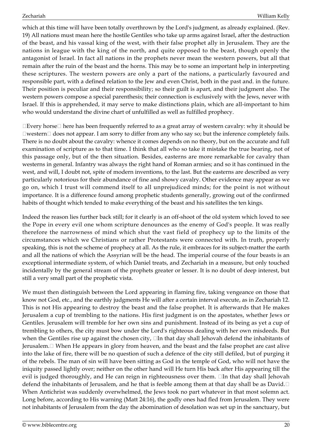which at this time will have been totally overthrown by the Lord's judgment, as already explained. (Rev. 19) All nations must mean here the hostile Gentiles who take up arms against Israel, after the destruction of the beast, and his vassal king of the west, with their false prophet ally in Jerusalem. They are the nations in league with the king of the north, and quite opposed to the beast, though openly the antagonist of Israel. In fact all nations in the prophets never mean the western powers, but all that remain after the ruin of the beast and the horns. This may be to some an important help in interpreting these scriptures. The western powers are only a part of the nations, a particularly favoured and responsible part, with a defined relation to the Jew and even Christ, both in the past and. in the future. Their position is peculiar and their responsibility; so their guilt is apart, and their judgment also. The western powers compose a special parenthesis; their connection is exclusively with the Jews, never with Israel. If this is apprehended, it may serve to make distinctions plain, which are all-important to him who would understand the divine chart of unfulfilled as well as fulfilled prophecy.

 $\Box$  Every horse  $\Box$  here has been frequently referred to as a great array of western cavalry: why it should be  $\Box$ western $\Box$  does not appear. I am sorry to differ from any who say so; but the inference completely fails. There is no doubt about the cavalry: whence it comes depends on no theory, but on the accurate and full examination of scripture as to that time. I think that all who so take it mistake the true bearing, not of this passage only, but of the then situation. Besides, easterns are more remarkable for cavalry than westerns in general. Infantry was always the right hand of Roman armies; and so it has continued in the west, and will, I doubt not, spite of modern inventions, to the last. But the easterns are described as very particularly notorious for their abundance of fine and showy cavalry. Other evidence may appear as we go on, which I trust will commend itself to all unprejudiced minds; for the point is not without importance. It is a difference found among prophetic students generally, growing out of the confirmed habits of thought which tended to make everything of the beast and his satellites the ten kings.

Indeed the reason lies further back still; for it clearly is an off-shoot of the old system which loved to see the Pope in every evil one whom scripture denounces as the enemy of God's people. It was really therefore the narrowness of mind which shut the vast field of prophecy up to the limits of the circumstances which we Christians or rather Protestants were connected with. In truth, properly speaking, this is not the scheme of prophecy at all. As the rule, it embraces for its subject-matter the earth and all the nations of which the Assyrian will be the head. The imperial course of the four beasts is an exceptional intermediate system, of which Daniel treats, and Zechariah in a measure, but only touched incidentally by the general stream of the prophets greater or lesser. It is no doubt of deep interest, but still a very small part of the prophetic vista.

We must then distinguish between the Lord appearing in flaming fire, taking vengeance on those that know not God, etc., and the earthly judgments He will after a certain interval execute, as in Zechariah 12. This is not His appearing to destroy the beast and the false prophet. It is afterwards that He makes Jerusalem a cup of trembling to the nations. His first judgment is on the apostates, whether Jews or Gentiles. Jerusalem will tremble for her own sins and punishment. Instead of its being as yet a cup of trembling to others, the city must bow under the Lord's righteous dealing with her own misdeeds. But when the Gentiles rise up against the chosen city,  $\Box$ In that day shall Jehovah defend the inhabitants of Jerusalem. When He appears in glory from heaven, and the beast and the false prophet are cast alive into the lake of fire, there will be no question of such a defence of the city still defiled, but of purging it of the rebels. The man of sin will have been sitting as God in the temple of God, who will not have the iniquity passed lightly over; neither on the other hand will He turn His back after His appearing till the evil is judged thoroughly, and He can reign in righteousness over them. In that day shall Jehovah defend the inhabitants of Jerusalem, and he that is feeble among them at that day shall be as David. When Antichrist was suddenly overwhelmed, the Jews took no part whatever in that most solemn act. Long before, according to His warning (Matt 24:16), the godly ones had fled from Jerusalem. They were not inhabitants of Jerusalem from the day the abomination of desolation was set up in the sanctuary, but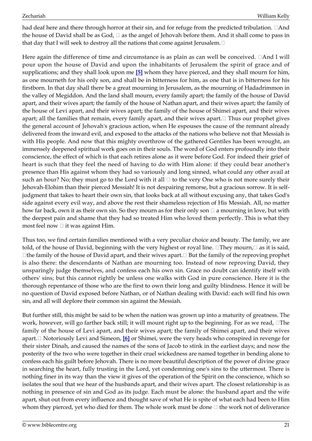had deaf here and there through horror at their sin, and for refuge from the predicted tribulation.  $\Box$ And the house of David shall be as God,  $\Box$  as the angel of Jehovah before them. And it shall come to pass in that day that I will seek to destroy all the nations that come against Jerusalem. $\Box$ 

<span id="page-20-0"></span>Here again the difference of time and circumstance is as plain as can well be conceived.  $\Box$  And I will pour upon the house of David and upon the inhabitants of Jerusalem the spirit of grace and of supplications; and they shall look upon me **[\[5\]](#page-27-0)** whom they have pierced, and they shall mourn for him, as one mourneth for his only son, and shall be in bitterness for him, as one that is in bitterness for his firstborn. In that day shall there be a great mourning in Jerusalem, as the mourning of Hadadrimmon in the valley of Megiddon. And the land shall mourn, every family apart; the family of the house of David apart, and their wives apart; the family of the house of Nathan apart, and their wives apart; the family of the house of Levi apart, and their wives apart; the family of the house of Shimei apart, and their wives apart; all the families that remain, every family apart, and their wives apart. $\Box$  Thus our prophet gives the general account of Jehovah's gracious action, when He espouses the cause of the remnant already delivered from the inward evil, and exposed to the attacks of the nations who believe not that Messiah is with His people. And now that this mighty overthrow of the gathered Gentiles has been wrought, an immensely deepened spiritual work goes on in their souls. The word of God enters profoundly into their conscience, the effect of which is that each retires alone as it were before God. For indeed their grief of heart is such that they feel the need of having to do with Him alone: if they could bear another's presence than His against whom they had so variously and long sinned, what could any other avail at such an hour? No; they must go to the Lord with it all  $\Box$  to the very One who is not more surely their Jehovah-Elohim than their pierced Messiah! It is not despairing remorse, but a gracious sorrow. It is selfjudgment that takes to heart their own sin, that looks back at all without excusing any, that takes God's side against every evil way, and above the rest their shameless rejection of His Messiah. All, no matter how far back, own it as their own sin. So they mourn as for their only son  $\Box$  a mourning in love, but with the deepest pain and shame that they had so treated Him who loved them perfectly. This is what they most feel now  $\Box$  it was against Him.

Thus too, we find certain families mentioned with a very peculiar choice and beauty. The family, we are told, of the house of David, beginning with the very highest or royal line.  $\Box$ They mourn, $\Box$  as it is said,  $\Box$  the family of the house of David apart, and their wives apart.  $\Box$  But the family of the reproving prophet is also there: the descendants of Nathan are mourning too. Instead of now reproving David, they unsparingly judge themselves, and confess each his own sin. Grace no doubt can identify itself with others' sins; but this cannot rightly be unless one walks with God in pure conscience. Here it is the thorough repentance of those who are the first to own their long and guilty blindness. Hence it will be no question of David exposed before Nathan, or of Nathan dealing with David: each will find his own sin, and all will deplore their common sin against the Messiah.

<span id="page-20-1"></span>But further still, this might be said to be when the nation was grown up into a maturity of greatness. The work, however, will go farther back still; it will mount right up to the beginning. For as we read,  $\Box$ The family of the house of Levi apart, and their wives apart; the family of Shimei apart, and their wives apart. Notoriously Levi and Simeon, **[\[6\]](#page-27-1)** or Shimei, were the very heads who conspired in revenge for their sister Dinah, and caused the names of the sons of Jacob to stink in the earliest days; and now the posterity of the two who were together in their cruel wickedness are named together in bending alone to confess each his guilt before Jehovah. There is no more beautiful description of the power of divine grace in searching the heart, fully trusting in the Lord, yet condemning one's sins to the uttermost. There is nothing finer in its way than the view it gives of the operation of the Spirit on the conscience, which so isolates the soul that we hear of the husbands apart, and their wives apart. The closest relationship is as nothing in presence of sin and God as its judge. Each must be alone: the husband apart and the wife apart, shut out from every influence and thought save of what He is spite of what each had been to Him whom they pierced, yet who died for them. The whole work must be done  $\Box$  the work not of deliverance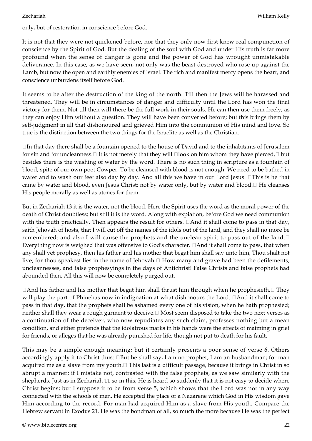only, but of restoration in conscience before God.

It is not that they were not quickened before, nor that they only now first knew real compunction of conscience by the Spirit of God. But the dealing of the soul with God and under His truth is far more profound when the sense of danger is gone and the power of God has wrought unmistakable deliverance. In this case, as we have seen, not only was the beast destroyed who rose up against the Lamb, but now the open and earthly enemies of Israel. The rich and manifest mercy opens the heart, and conscience unburdens itself before God.

It seems to be after the destruction of the king of the north. Till then the Jews will be harassed and threatened. They will be in circumstances of danger and difficulty until the Lord has won the final victory for them. Not till then will there be the full work in their souls. He can then use them freely, as they can enjoy Him without a question. They will have been converted before; but this brings them by self-judgment in all that dishonoured and grieved Him into the communion of His mind and love. So true is the distinction between the two things for the Israelite as well as the Christian.

 $\Box$ In that day there shall be a fountain opened to the house of David and to the inhabitants of Jerusalem for sin and for uncleanness. If is not merely that they will  $\Box$ look on him whom they have pierced,  $\Box$  but besides there is the washing of water by the word. There is no such thing in scripture as a fountain of blood, spite of our own poet Cowper. To be cleansed with blood is not enough. We need to be bathed in water and to wash our feet also day by day. And all this we have in our Lord Jesus.  $\Box$ This is he that came by water and blood, even Jesus Christ; not by water only, but by water and blood.  $\Box$  He cleanses His people morally as well as atones for them.

But in Zechariah 13 it is the water, not the blood. Here the Spirit uses the word as the moral power of the death of Christ doubtless; but still it is the word. Along with expiation, before God we need communion with the truth practically. Then appears the result for others.  $\Box$  And it shall come to pass in that day, saith Jehovah of hosts, that I will cut off the names of the idols out of the land, and they shall no more be remembered: and also I will cause the prophets and the unclean spirit to pass out of the land. Everything now is weighed that was offensive to God's character.  $\Box$  And it shall come to pass, that when any shall yet prophesy, then his father and his mother that begat him shall say unto him, Thou shalt not live; for thou speakest lies in the name of Jehovah. $\Box$  How many and grave had been the defilements, uncleannesses, and false prophesyings in the days of Antichrist! False Christs and false prophets had abounded then. All this will now be completely purged out.

 $\Box$  And his father and his mother that begat him shall thrust him through when he prophesieth.  $\Box$  They will play the part of Phinehas now in indignation at what dishonours the Lord.  $\Box$  And it shall come to pass in that day, that the prophets shall be ashamed every one of his vision, when he hath prophesied; neither shall they wear a rough garment to deceive.  $\Box$  Most seem disposed to take the two next verses as a continuation of the deceiver, who now repudiates any such claim, professes nothing but a mean condition, and either pretends that the idolatrous marks in his hands were the effects of maiming in grief for friends, or alleges that he was already punished for life, though not put to death for his fault.

This may be a simple enough meaning; but it certainly presents a poor sense of verse 6. Others accordingly apply it to Christ thus:  $\Box$ But he shall say, I am no prophet, I am an husbandman; for man acquired me as a slave from my youth.  $\Box$  This last is a difficult passage, because it brings in Christ in so abrupt a manner; if I mistake not, contrasted with the false prophets, as we saw similarly with the shepherds. Just as in Zechariah 11 so in this, He is heard so suddenly that it is not easy to decide where Christ begins; but I suppose it to be from verse 5, which shows that the Lord was not in any way connected with the schools of men. He accepted the place of a Nazarene which God in His wisdom gave Him according to the record. For man had acquired Him as a slave from His youth. Compare the Hebrew servant in Exodus 21. He was the bondman of all, so much the more because He was the perfect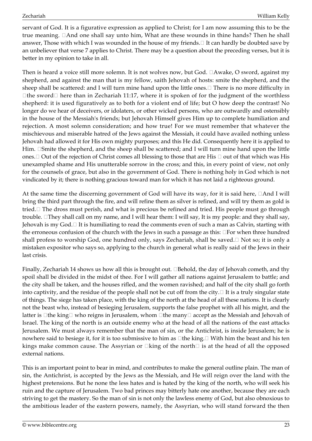servant of God. It is a figurative expression as applied to Christ; for I am now assuming this to be the true meaning.  $\Box$  And one shall say unto him, What are these wounds in thine hands? Then he shall answer, Those with which I was wounded in the house of my friends. $\Box$  It can hardly be doubted save by an unbeliever that verse 7 applies to Christ. There may be a question about the preceding verses, but it is better in my opinion to take in all.

Then is heard a voice still more solemn. It is not wolves now, but God.  $\Box$ Awake, O sword, against my shepherd, and against the man that is my fellow, saith Jehovah of hosts: smite the shepherd, and the sheep shall be scattered: and I will turn mine hand upon the little ones. $\Box$  There is no more difficulty in  $\Box$  the sword  $\Box$  here than in Zechariah 11:17, where it is spoken of for the judgment of the worthless shepherd: it is used figuratively as to both for a violent end of life; but O how deep the contrast! No longer do we hear of deceivers, or idolaters, or other wicked persons, who are outwardly and ostensibly in the house of the Messiah's friends; but Jehovah Himself gives Him up to complete humiliation and rejection. A most solemn consideration; and how true! For we must remember that whatever the mischievous and miserable hatred of the Jews against the Messiah, it could have availed nothing unless Jehovah had allowed it for His own mighty purposes; and this He did. Consequently here it is applied to Him.  $\Box$ Smite the shepherd, and the sheep shall be scattered; and I will turn mine hand upon the little ones.  $\Box$  Out of the rejection of Christ comes all blessing to those that are His  $\Box$  out of that which was His unexampled shame and His unutterable sorrow in the cross; and this, in every point of view, not only for the counsels of grace, but also in the government of God. There is nothing holy in God which is not vindicated by it; there is nothing gracious toward man for which it has not laid a righteous ground.

At the same time the discerning government of God will have its way, for it is said here,  $\Box$ And I will bring the third part through the fire, and will refine them as silver is refined, and will try them as gold is tried. The dross must perish, and what is precious be refined and tried. His people must go through trouble.  $\Box$  They shall call on my name, and I will hear them: I will say, It is my people: and they shall say, Jehovah is my God. $\Box$  It is humiliating to read the comments even of such a man as Calvin, starting with the erroneous confusion of the church with the Jews in such a passage as this:  $\Box$  For when three hundred shall profess to worship God, one hundred only, says Zechariah, shall be saved. $\Box$  Not so; it is only a mistaken expositor who says so, applying to the church in general what is really said of the Jews in their last crisis.

Finally, Zechariah 14 shows us how all this is brought out.  $\Box$ Behold, the day of Jehovah cometh, and thy spoil shall be divided in the midst of thee. For I will gather all nations against Jerusalem to battle; and the city shall be taken, and the houses rifled, and the women ravished; and half of the city shall go forth into captivity, and the residue of the people shall not be cut off from the city.  $\Box$  It is a truly singular state of things. The siege has taken place, with the king of the north at the head of all these nations. It is clearly not the beast who, instead of besieging Jerusalem, supports the false prophet with all his might, and the latter is  $\Box$ the king  $\Box$  who reigns in Jerusalem, whom  $\Box$ the many  $\Box$  accept as the Messiah and Jehovah of Israel. The king of the north is an outside enemy who at the head of all the nations of the east attacks Jerusalem. We must always remember that the man of sin, or the Antichrist, is inside Jerusalem; he is nowhere said to besiege it, for it is too submissive to him as  $\Box$  the king.  $\Box$  With him the beast and his ten kings make common cause. The Assyrian or  $\Box$ king of the north $\Box$  is at the head of all the opposed external nations.

This is an important point to bear in mind, and contributes to make the general outline plain. The man of sin, the Antichrist, is accepted by the Jews as the Messiah, and He will reign over the land with the highest pretensions. But he none the less hates and is hated by the king of the north, who will seek his ruin and the capture of Jerusalem. Two bad princes may bitterly hate one another, because they are each striving to get the mastery. So the man of sin is not only the lawless enemy of God, but also obnoxious to the ambitious leader of the eastern powers, namely, the Assyrian, who will stand forward the then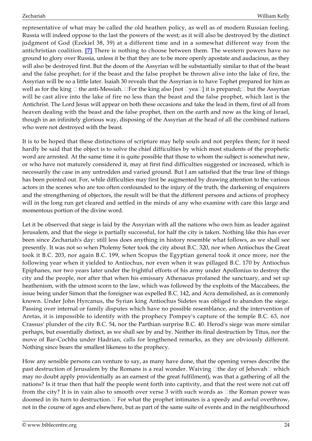<span id="page-23-0"></span>representative of what may be called the old heathen policy, as well as of modern Russian feeling. Russia will indeed oppose to the last the powers of the west; as it will also be destroyed by the distinct judgment of God (Ezekiel 38, 39) at a different time and in a somewhat different way from the antichristian coalition. **[\[7\]](#page-27-2)** There is nothing to choose between them. The western powers have no ground to glory over Russia, unless it be that they are to be more openly apostate and audacious, as they will also be destroyed first. But the doom of the Assyrian will be substantially similar to that of the beast and the false prophet; for if the beast and the false prophet be thrown alive into the lake of fire, the Assyrian will be so a little later. Isaiah 30 reveals that the Assyrian is to have Tophet prepared for him as well as for the king  $\Box$  the anti-Messiah.  $\Box$  For the king also [not  $\Box$ yea $\Box$ ] it is prepared;  $\Box$  but the Assyrian will be cast alive into the lake of fire no less than the beast and the false prophet, which last is the Antichrist. The Lord Jesus will appear on both these occasions and take the lead in them, first of all from heaven dealing with the beast and the false prophet, then on the earth and now as the king of Israel, though in an infinitely glorious way, disposing of the Assyrian at the head of all the combined nations who were not destroyed with the beast.

It is to be hoped that these distinctions of scripture may help souls and not perplex them; for it need hardly be said that the object is to solve the chief difficulties by which most students of the prophetic word are arrested. At the same time it is quite possible that those to whom the subject is somewhat new, or who have not maturely considered it, may at first find difficulties suggested or increased, which is necessarily the case in any untrodden and varied ground. But I am satisfied that the true line of things has been pointed out. For, while difficulties may first be augmented by drawing attention to the various actors in the scenes who are too often confounded to the injury of the truth, the darkening of enquirers and the strengthening of objectors, the result will be that the different persons and actions of prophecy will in the long run get cleared and settled in the minds of any who examine with care this large and momentous portion of the divine word.

Let it be observed that siege is laid by the Assyrian with all the nations who own him as leader against Jerusalem, and that the siege is partially successful, for half the city is taken. Nothing like this has ever been since Zechariah's day: still less does anything in history resemble what follows, as we shall see presently. It was not so when Ptolemy Soter took the city about B.C. 320, nor when Antiochus the Great took it B.C. 203, nor again B.C. 199, when Scopus the Egyptian general took it once more, nor the following year when it yielded to Antiochus, nor even when it was pillaged B.C. 170 by Antiochus Epiphanes, nor two years later under the frightful efforts of his army under Apollonius to destroy the city and the people, nor after that when his emissary Athenaeus profaned the sanctuary, and set up heathenism, with the utmost scorn to the law, which was followed by the exploits of the Maccabees, the issue being under Simon that the foreigner was expelled B.C. 142, and Acra demolished, as is commonly known. Under John Hyrcanus, the Syrian king Antiochus Sidetes was obliged to abandon the siege. Passing over internal or family disputes which have no possible resemblance, and the intervention of Aretas, it is impossible to identify with the prophecy Pompey's capture of the temple B.C. 63, nor Crassus' plunder of the city B.C. 54, nor the Parthian surprise B.C. 40. Herod's siege was more similar perhaps, but essentially distinct, as we shall see by and by. Neither its final destruction by Titus, nor the move of Bar-Cochba under Hadrian, calls for lengthened remarks, as they are obviously different. Nothing since bears the smallest likeness to the prophecy.

How any sensible persons can venture to say, as many have done, that the opening verses describe the past destruction of Jerusalem by the Romans is a real wonder. Waiving  $\Box$ the day of Jehovah $\Box$  which may no doubt apply providentially as an earnest of the great fulfilment), was that a gathering of all the nations? Is it true then that half the people went forth into captivity, and that the rest were not cut off from the city? It is in vain also to smooth over verse 3 with such words as  $\Box$ the Roman power was doomed in its turn to destruction.  $\Box$  For what the prophet intimates is a speedy and awful overthrow, not in the course of ages and elsewhere, but as part of the same suite of events and in the neighbourhood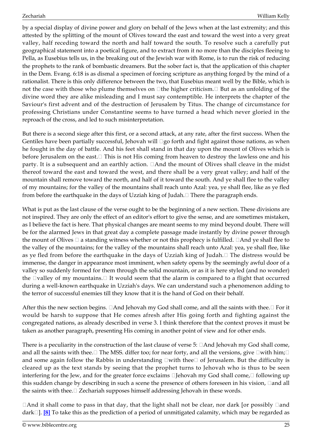by a special display of divine power and glory on behalf of the Jews when at the last extremity; and this attested by the splitting of the mount of Olives toward the east and toward the west into a very great valley, half receding toward the north and half toward the south. To resolve such a carefully put geographical statement into a poetical figure, and to extract from it no more than the disciples fleeing to Pella, as Eusebius tells us, in the breaking out of the Jewish war with Rome, is to run the risk of reducing the prophets to the rank of bombastic dreamers. But the sober fact is, that the application of this chapter in the Dem. Evang. 6:18 is as dismal a specimen of forcing scripture as anything forged by the mind of a rationalist. There is this only difference between the two, that Eusebius meant well by the Bible, which is not the case with those who plume themselves on  $\Box$  the higher criticism.  $\Box$  But as an unfolding of the divine word they are alike misleading and I must say contemptible. He interprets the chapter of the Saviour's first advent and of the destruction of Jerusalem by Titus. The change of circumstance for professing Christians under Constantine seems to have turned a head which never gloried in the reproach of the cross, and led to such misinterpretation.

But there is a second siege after this first, or a second attack, at any rate, after the first success. When the Gentiles have been partially successful, Jehovah will  $\Box$ go forth and fight against those nations, as when he fought in the day of battle. And his feet shall stand in that day upon the mount of Olives which is before Jerusalem on the east. $\Box$  This is not His coming from heaven to destroy the lawless one and his party. It is a subsequent and an earthly action.  $\Box$  And the mount of Olives shall cleave in the midst thereof toward the east and toward the west, and there shall be a very great valley; and half of the mountain shall remove toward the north, and half of it toward the south. And ye shall flee to the valley of my mountains; for the valley of the mountains shall reach unto Azal: yea, ye shall flee, like as ye fled from before the earthquake in the days of Uzziah king of Judah.  $\Box$  There the paragraph ends.

What is put as the last clause of the verse ought to be the beginning of a new section. These divisions are not inspired. They are only the effect of an editor's effort to give the sense, and are sometimes mistaken, as I believe the fact is here. That physical changes are meant seems to my mind beyond doubt. There will be for the alarmed Jews in that great day a complete passage made instantly by divine power through the mount of Olives  $\Box$  a standing witness whether or not this prophecy is fulfilled.  $\Box$  And ye shall flee to the valley of the mountains; for the valley of the mountains shall reach unto Azal: yea, ye shall flee, like as ye fled from before the earthquake in the days of Uzziah king of Judah.  $\Box$  The distress would be immense, the danger in appearance most imminent, when safety opens by the seemingly awful door of a valley so suddenly formed for them through the solid mountain, or as it is here styled (and no wonder) the  $\Box$ valley of my mountains. $\Box$  It would seem that the alarm is compared to a flight that occurred during a well-known earthquake in Uzziah's days. We can understand such a phenomenon adding to the terror of successful enemies till they know that it is the hand of God on their behalf.

After this the new section begins.  $\Box$  And Jehovah my God shall come, and all the saints with thee.  $\Box$  For it would be harsh to suppose that He comes afresh after His going forth and fighting against the congregated nations, as already described in verse 3. I think therefore that the context proves it must be taken as another paragraph, presenting His coming in another point of view and for other ends.

There is a peculiarity in the construction of the last clause of verse 5:  $\Box$  And Jehovah my God shall come, and all the saints with thee.  $\Box$  The MSS. differ too; for near forty, and all the versions, give  $\Box$ with him; $\Box$ and some again follow the Rabbis in understanding  $\square$  with thee  $\square$  of Jerusalem. But the difficulty is cleared up as the text stands by seeing that the prophet turns to Jehovah who is thus to be seen interfering for the Jew, and for the greater force exclaims  $\Box$  Jehovah my God shall come,  $\Box$  following up this sudden change by describing in such a scene the presence of others foreseen in his vision,  $\Box$  and all the saints with thee.  $\Box$  Zechariah supposes himself addressing Jehovah in these words.

<span id="page-24-0"></span> $\Box$  And it shall come to pass in that day, that the light shall not be clear, nor dark [or possibly  $\Box$  and dark]. **[\[8\]](#page-27-3)** To take this as the prediction of a period of unmitigated calamity, which may be regarded as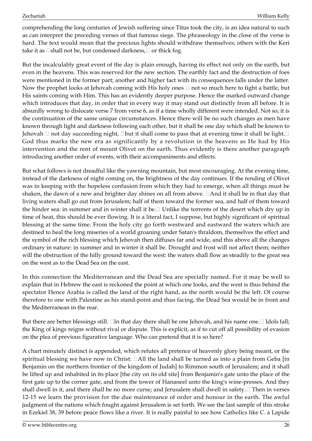comprehending the long centuries of Jewish suffering since Titus took the city, is an idea natural to such as can interpret the preceding verses of that famous siege. The phraseology in the close of the verse is hard. The text would mean that the precious lights should withdraw themselves; others with the Keri take it as  $\Box$ shall not be, but condensed darkness,  $\Box$  or thick fog.

But the incalculably great event of the day is plain enough, having its effect not only on the earth, but even in the heavens. This was reserved for the new section. The earthly fact and the destruction of foes were mentioned in the former part; another and higher fact with its consequences falls under the latter. Now the prophet looks at Jehovah coming with His holy ones  $\Box$  not so much here to fight a battle, but His saints coming with Him. This has an evidently deeper purpose. Hence the marked outward change which introduces that day, in order that in every way it may stand out distinctly from all before. It is absurdly wrong to dislocate verse 7 from verse 6, as if a time wholly different were intended. Not so; it is the continuation of the same unique circumstances. Hence there will be no such changes as men have known through light and darkness following each other, but it shall be one day which shall be known to Jehovah  $\Box$  not day succeeding night,  $\Box$ but it shall come to pass that at evening time it shall be light. $\Box$ God thus marks the new era as significantly by a revolution in the heavens as He had by His intervention and the rent of mount Olivet on the earth. Thus evidently is there another paragraph introducing another order of events, with their accompaniments and effects.

But what follows is not dreadful like the yawning mountain, but most encouraging. At the evening time, instead of the darkness of night coming on, the brightness of the day continues. If the rending of Olivet was in keeping with the hopeless confusion from which they had to emerge, when all things must be shaken, the dawn of a new and brighter day shines on all from above.  $\Box$  And it shall be in that day that living waters shall go out from Jerusalem; half of them toward the former sea, and half of them toward the hinder sea: in summer and in winter shall it be.  $\Box$  Unlike the torrents of the desert which dry up in time of heat, this should be ever flowing. It is a literal fact, I suppose, but highly significant of spiritual blessing at the same time. From the holy city go forth westward and eastward the waters which are destined to heal the long miseries of a world groaning under Satan's thraldom, themselves the effect and the symbol of the rich blessing which Jehovah then diffuses far and wide, and this above all the changes ordinary in nature: in summer and in winter it shall be. Drought and frost will not affect them; neither will the obstruction of the hilly ground toward the west: the waters shall flow as steadily to the great sea on the west as to the Dead Sea on the east.

In this connection the Mediterranean and the Dead Sea are specially named. For it may be well to explain that in Hebrew the east is reckoned the point at which one looks, and the west is thus behind the spectator Hence Arabia is called the land of the right hand, as the north would be the left. Of course therefore to one with Palestine as his stand-point and thus facing, the Dead Sea would be in front and the Mediterranean in the rear.

But there are better blessings still.  $\Box$ In that day there shall be one Jehovah, and his name one. $\Box$  Idols fall; the King of kings reigns without rival or dispute. This is explicit, as if to cut off all possibility of evasion on the plea of previous figurative language. Who can pretend that it is so here?

A chart minutely distinct is appended, which refutes all pretence of heavenly glory being meant, or the spiritual blessing we have now in Christ:  $\Box$  All the land shall be turned as into a plain from Geba [in] Benjamin on the northern frontier of the kingdom of Judah] to Rimmon south of Jerusalem; and it shall be lifted up and inhabited in its place [the city on its old site] from Benjamin's gate unto the place of the first gate up to the corner gate, and from the tower of Hananeel unto the king's wine-presses. And they shall dwell in it, and there shall be no more curse; and Jerusalem shall dwell in safety.  $\Box$  Then in verses 12-15 we learn the provision for the due maintenance of order and honour in the earth. The awful judgment of the nations which fought against Jerusalem is set forth. We see the last sample of this stroke in Ezekiel 38, 39 before peace flows like a river. It is really painful to see how Catholics like C. a Lapide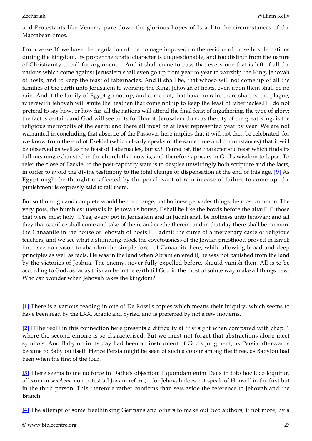and Protestants like Venema pare down the glorious hopes of Israel to the circumstances of the Maccabean times.

From verse 16 we have the regulation of the homage imposed on the residue of those hostile nations during the kingdom. Its proper theocratic character is unquestionable, and too distinct from the nature of Christianity to call for argument.  $\Box$  And it shall come to pass that every one that is left of all the nations which come against Jerusalem shall even go up from year to year to worship the King, Jehovah of hosts, and to keep the feast of tabernacles. And it shall be, that whoso will not come up of all the families of the earth unto Jerusalem to worship the King, Jehovah of hosts, even upon them shall be no rain. And if the family of Egypt go not up, and come not, that have no rain; there shall be the plague, wherewith Jehovah will smite the heathen that come not up to keep the feast of tabernacles.  $\Box$  I do not pretend to say how, or how far, all the nations will attend the final feast of ingathering, the type of glory: the fact is certain, and God will see to its fulfilment. Jerusalem thus, as the city of the great King, is the religious metropolis of the earth; and there all must be at least represented year by year. We are not warranted in concluding that absence of the Passover here implies that it will not then be celebrated; for we know from the end of Ezekiel (which clearly speaks of the same time and circumstances) that it will be observed as well as the feast of Tabernacles, but *not* Pentecost, the characteristic feast which finds its full meaning exhausted in the church that now is, and therefore appears in God's wisdom to lapse. To refer the close of Ezekiel to the post-captivity state is to despise unwittingly both scripture and the facts, in order to avoid the divine testimony to the total change of dispensation at the end of this age. **[\[9\]](#page-27-4)** As Egypt might be thought unaffected by the penal want of rain in case of failure to come up, the punishment is expressly said to fall there.

<span id="page-26-4"></span>But so thorough and complete would be the change,that holiness pervades things the most common. The very pots, the humblest utensils in Jehovah's house,  $\Box$ shall be like the bowls before the altar  $\Box$  those that were most holy.  $\Box$  Yea, every pot in Jerusalem and in Judah shall be holiness unto Jehovah: and all they that sacrifice shall come and take of them, and seethe therein: and in that day there shall be no more the Canaanite in the house of Jehovah of hosts.<sup>[1]</sup> I admit the curse of a mercenary caste of religious teachers, and we see what a stumbling-block the covetousness of the Jewish priesthood proved in Israel; but I see no reason to abandon the simple force of Canaanite here, while allowing broad and deep principles as well as facts. He was in the land when Abram entered it; he was not banished from the land by the victories of Joshua. The enemy, never fully expelled before, should vanish then. All is to be according to God, as far as this can be in the earth till God in the most absolute way make all things new. Who can wonder when Jehovah takes the kingdom?

<span id="page-26-0"></span>**[\[1\]](#page-10-0)** There is a various reading in one of De Rossi's copies which means their iniquity, which seems to have been read by the LXX, Arabic and Syriac, and is preferred by not a few moderns.

<span id="page-26-1"></span>**[\[2\]](#page-12-0)** □The red□ in this connection here presents a difficulty at first sight when compared with chap. 1 where the second empire is so characterised. But we must not forget that abstractions alone meet symbols. And Babylon in its day had been an instrument of God's judgment, as Persia afterwards became to Babylon itself. Hence Persia might be seen of such a colour among the three, as Babylon had been when the first of the four.

<span id="page-26-2"></span>**[\[3\]](#page-13-0)** There seems to me no force in Dathe's objection:  $\Box$ quondam enim Deus in toto hoc loco loquitur, affixum in *senehem* non potest ad Jovam referri; for Jehovah does not speak of Himself in the first but in the third person. This therefore rather confirms than sets aside the reference to Jehovah and the Branch.

<span id="page-26-3"></span>**[\[4\]](#page-16-0)** The attempt of some freethinking Germans and others to make out two authors, if not more, by a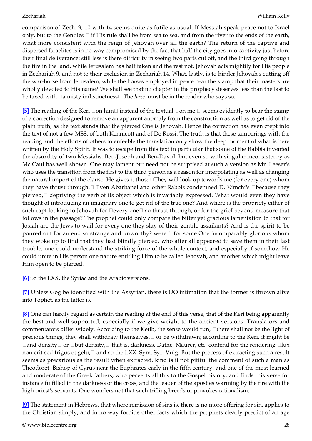comparison of Zech. 9, 10 with 14 seems quite as futile as usual. If Messiah speak peace not to Israel only, but to the Gentiles  $\Box$  if His rule shall be from sea to sea, and from the river to the ends of the earth, what more consistent with the reign of Jehovah over all the earth? The return of the captive and dispersed Israelites is in no way compromised by the fact that half the city goes into captivity just before their final deliverance; still less is there difficulty in seeing two parts cut off, and the third going through the fire in the land, while Jerusalem has half taken and the rest not. Jehovah acts mightily for His people in Zechariah 9, and not to their exclusion in Zechariah 14. What, lastly, is to hinder Jehovah's cutting off the war-horse from Jerusalem, while the horses employed in peace bear the stamp that their masters are wholly devoted to His name? We shall see that no chapter in the prophecy deserves less than the last to be taxed with  $\Box a$  misty indistinctness  $\Box$  The *haze* must be in the reader who says so.

<span id="page-27-0"></span>**[\[5\]](#page-20-0)** The reading of the Keri  $\Box$  on him  $\Box$  instead of the textual  $\Box$  on me,  $\Box$  seems evidently to bear the stamp of a correction designed to remove an apparent anomaly from the construction as well as to get rid of the plain truth, as the text stands that the pierced One is Jehovah. Hence the correction has even crept into the text of not a few MSS. of both Kennicott and of De Rossi. The truth is that these tamperings with the reading and the efforts of others to enfeeble the translation only show the deep moment of what is here written by the Holy Spirit. It was to escape from this text in particular that some of the Rabbis invented the absurdity of two Messiahs, Ben-Joseph and Ben-David, but even so with singular inconsistency as Mc.Caul has well shown. One may lament but need not be surprised at such a version as Mr. Leeser's who uses the transition from the first to the third person as a reason for interpolating as well as changing the natural import of the clause. He gives it thus:  $\Box$ They will look up towards me (for every one) whom they have thrust through. Even Abarbanel and other Rabbis condemned D. Kimchi's Ebecause they pierced,  $\Box$  depriving the verb of its object which is invariably expressed. What would even they have thought of introducing an imaginary one to get rid of the true one? And where is the propriety either of such rapt looking to Jehovah for  $\square$ every one $\square$  so thrust through, or for the grief beyond measure that follows in the passage? The prophet could only compare the bitter yet gracious lamentation to that for Josiah are the Jews to wail for every one they slay of their gentile assailants? And is the spirit to be poured out for an end so strange and unworthy? were it for some One incomparably glorious whom they woke up to find that they had blindly pierced, who after all appeared to save them in their last trouble, one could understand the striking force of the whole context, and especially if somehow He could unite in His person one nature entitling Him to be called Jehovah, and another which might leave Him open to be pierced.

<span id="page-27-1"></span>**[\[6\]](#page-20-1)** So the LXX, the Syriac and the Arabic versions.

<span id="page-27-2"></span>**[\[7\]](#page-23-0)** Unless Gog be identified with the Assyrian, there is DO intimation that the former is thrown alive into Tophet, as the latter is.

<span id="page-27-3"></span>**[\[8\]](#page-24-0)** One can hardly regard as certain the reading at the end of this verse, that of the Keri being apparently the best and well supported, especially if we give weight to the ancient versions. Translators and commentators differ widely. According to the Ketib, the sense would run,  $\Box$  there shall not be the light of precious things, they shall withdraw themselves,  $\Box$  or be withdrawn; according to the Keri, it might be  $\Box$ and density $\Box$  or  $\Box$ but density, $\Box$  that is, darkness. Dathe, Maurer, etc. contend for the rendering  $\Box$ lux non erit sed frigus et gelu,  $\Box$  and so the LXX. Sym. Syr. Vulg. But the process of extracting such a result seems as precarious as the result when extracted. kind is it not pitiful the comment of such a man as Theodoret, Bishop of Cyrus near the Euphrates early in the fifth century, and one of the most learned and moderate of the Greek fathers, who perverts all this to the Gospel history, and finds this verse for instance fulfilled in the darkness of the cross, and the leader of the apostles warming by the fire with the high priest's servants. One wonders not that such trifling breeds or provokes rationalism.

<span id="page-27-4"></span>**[\[9\]](#page-26-4)** The statement in Hebrews, that where remission of sins is, there is no more offering for sin, applies to the Christian simply, and in no way forbids other facts which the prophets clearly predict of an age